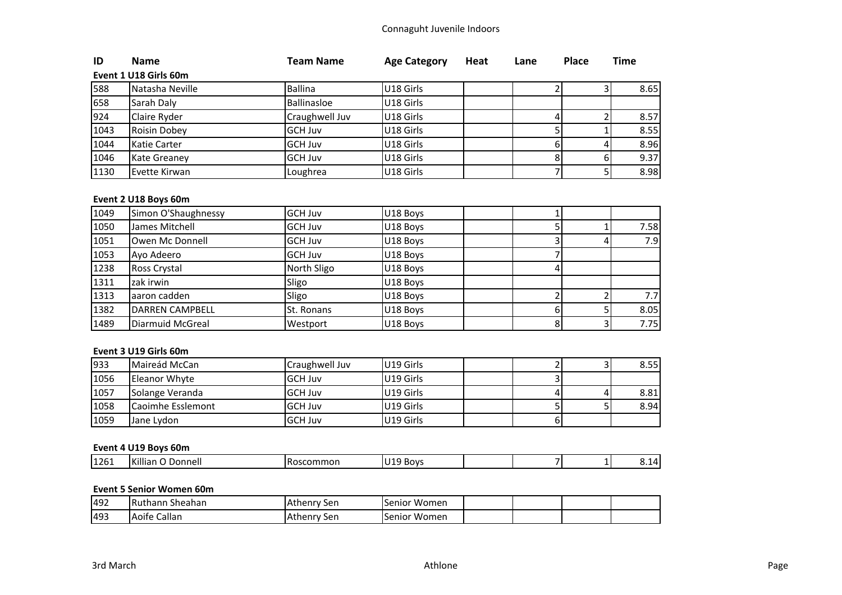# Connaguht Juvenile Indoors

| ID   | <b>Name</b>           | Team Name      | <b>Age Category</b> | Heat | Lane | <b>Place</b> | Time |
|------|-----------------------|----------------|---------------------|------|------|--------------|------|
|      | Event 1 U18 Girls 60m |                |                     |      |      |              |      |
| 588  | Natasha Neville       | Ballina        | U18 Girls           |      |      |              | 8.65 |
| 658  | Sarah Daly            | Ballinasloe    | U18 Girls           |      |      |              |      |
| 924  | Claire Ryder          | Craughwell Juv | U18 Girls           |      |      |              | 8.57 |
| 1043 | Roisin Dobey          | <b>GCH Juv</b> | U18 Girls           |      |      |              | 8.55 |
| 1044 | Katie Carter          | <b>GCH Juv</b> | U18 Girls           |      |      |              | 8.96 |
| 1046 | <b>Kate Greaney</b>   | <b>GCH Juv</b> | U18 Girls           |      |      |              | 9.37 |
| 1130 | Evette Kirwan         | Loughrea       | U18 Girls           |      |      |              | 8.98 |

# **Event 2 U18 Boys 60m**

| 1049 | Simon O'Shaughnessy    | <b>GCH Juv</b> | U18 Boys |  |                  |
|------|------------------------|----------------|----------|--|------------------|
| 1050 | James Mitchell         | <b>GCH Juv</b> | U18 Boys |  | 7.58             |
| 1051 | Owen Mc Donnell        | <b>GCH Juv</b> | U18 Boys |  | 7.9              |
| 1053 | Ayo Adeero             | <b>GCH Juv</b> | U18 Boys |  |                  |
| 1238 | Ross Crystal           | North Sligo    | U18 Boys |  |                  |
| 1311 | zak irwin              | Sligo          | U18 Boys |  |                  |
| 1313 | aaron cadden           | Sligo          | U18 Boys |  | 7.7 <sub>l</sub> |
| 1382 | <b>DARREN CAMPBELL</b> | St. Ronans     | U18 Boys |  | 8.05             |
| 1489 | Diarmuid McGreal       | Westport       | U18 Boys |  | 7.75             |

### **Event 3 U19 Girls 60m**

| 933  | Maireád McCan            | Craughwell Juv  | U19 Girls |  | 8.55 |
|------|--------------------------|-----------------|-----------|--|------|
| 1056 | Eleanor Whyte            | <b>GCH Juv</b>  | U19 Girls |  |      |
| 1057 | Solange Veranda          | <b>IGCH Juv</b> | U19 Girls |  | 8.81 |
| 1058 | <b>Caoimhe Esslemont</b> | <b>GCH Juv</b>  | U19 Girls |  | 8.94 |
| 1059 | Jane Lydon               | <b>GCH Juv</b>  | U19 Girls |  |      |

# **Event 4 U19 Boys 60m**

# **Event 5 Senior Women 60m**

| 492 | Sheahan<br><b>IRuthanr</b>                | TAthenry<br>50r<br>JEII | Women<br>Senior |  |  |
|-----|-------------------------------------------|-------------------------|-----------------|--|--|
| 493 | $\cdot$ $\cdot$<br>Callar<br><b>Aoife</b> | <b>IAthenr</b><br>-sen  | Women<br>Senior |  |  |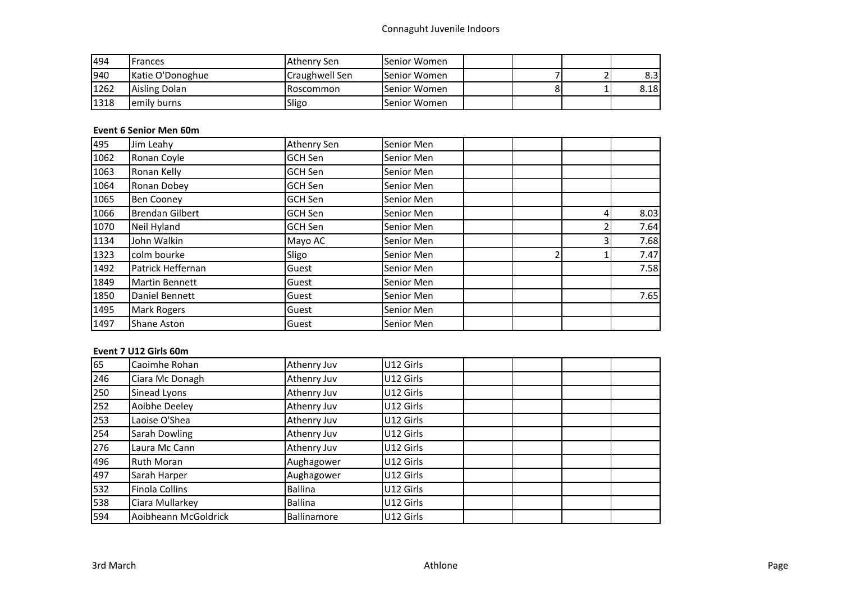| 494  | Frances          | Athenry Sen    | lSenior Women       |  |      |
|------|------------------|----------------|---------------------|--|------|
| 940  | Katie O'Donoghue | Craughwell Sen | lSenior Women       |  | 8.3  |
| 1262 | Aisling Dolan    | Roscommon      | lSenior Women       |  | 8.18 |
| 1318 | lemily burns     | Sligo          | <b>Senior Women</b> |  |      |

# **Event 6 Senior Men 60m**

| 495  | Jim Leahy              | Athenry Sen    | Senior Men |  |      |
|------|------------------------|----------------|------------|--|------|
| 1062 | Ronan Coyle            | GCH Sen        | Senior Men |  |      |
| 1063 | Ronan Kelly            | GCH Sen        | Senior Men |  |      |
| 1064 | Ronan Dobey            | GCH Sen        | Senior Men |  |      |
| 1065 | <b>Ben Cooney</b>      | GCH Sen        | Senior Men |  |      |
| 1066 | <b>Brendan Gilbert</b> | <b>GCH Sen</b> | Senior Men |  | 8.03 |
| 1070 | Neil Hyland            | GCH Sen        | Senior Men |  | 7.64 |
| 1134 | John Walkin            | Mayo AC        | Senior Men |  | 7.68 |
| 1323 | colm bourke            | Sligo          | Senior Men |  | 7.47 |
| 1492 | Patrick Heffernan      | Guest          | Senior Men |  | 7.58 |
| 1849 | <b>Martin Bennett</b>  | Guest          | Senior Men |  |      |
| 1850 | Daniel Bennett         | Guest          | Senior Men |  | 7.65 |
| 1495 | <b>Mark Rogers</b>     | Guest          | Senior Men |  |      |
| 1497 | <b>Shane Aston</b>     | Guest          | Senior Men |  |      |

# **Event 7 U12 Girls 60m**

| 65  | Caoimhe Rohan        | Athenry Juv | U12 Girls |  |  |
|-----|----------------------|-------------|-----------|--|--|
| 246 | Ciara Mc Donagh      | Athenry Juv | U12 Girls |  |  |
| 250 | Sinead Lyons         | Athenry Juv | U12 Girls |  |  |
| 252 | Aoibhe Deeley        | Athenry Juv | U12 Girls |  |  |
| 253 | Laoise O'Shea        | Athenry Juv | U12 Girls |  |  |
| 254 | Sarah Dowling        | Athenry Juv | U12 Girls |  |  |
| 276 | Laura Mc Cann        | Athenry Juv | U12 Girls |  |  |
| 496 | <b>Ruth Moran</b>    | Aughagower  | U12 Girls |  |  |
| 497 | Sarah Harper         | Aughagower  | U12 Girls |  |  |
| 532 | Finola Collins       | Ballina     | U12 Girls |  |  |
| 538 | Ciara Mullarkey      | Ballina     | U12 Girls |  |  |
| 594 | Aoibheann McGoldrick | Ballinamore | U12 Girls |  |  |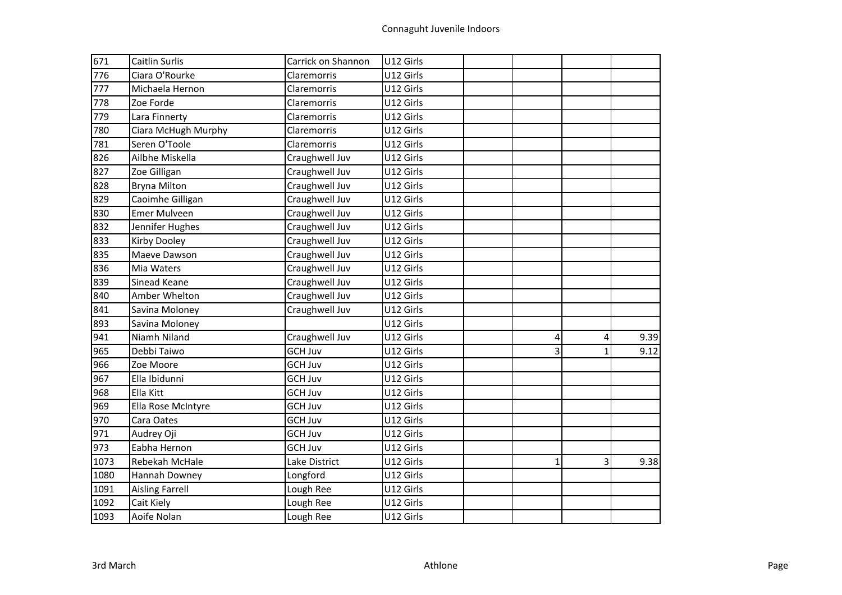| 671  | <b>Caitlin Surlis</b>  | Carrick on Shannon | U12 Girls |              |   |      |
|------|------------------------|--------------------|-----------|--------------|---|------|
| 776  | Ciara O'Rourke         | Claremorris        | U12 Girls |              |   |      |
| 777  | Michaela Hernon        | Claremorris        | U12 Girls |              |   |      |
| 778  | Zoe Forde              | Claremorris        | U12 Girls |              |   |      |
| 779  | Lara Finnerty          | Claremorris        | U12 Girls |              |   |      |
| 780  | Ciara McHugh Murphy    | Claremorris        | U12 Girls |              |   |      |
| 781  | Seren O'Toole          | Claremorris        | U12 Girls |              |   |      |
| 826  | Ailbhe Miskella        | Craughwell Juv     | U12 Girls |              |   |      |
| 827  | Zoe Gilligan           | Craughwell Juv     | U12 Girls |              |   |      |
| 828  | <b>Bryna Milton</b>    | Craughwell Juv     | U12 Girls |              |   |      |
| 829  | Caoimhe Gilligan       | Craughwell Juv     | U12 Girls |              |   |      |
| 830  | <b>Emer Mulveen</b>    | Craughwell Juv     | U12 Girls |              |   |      |
| 832  | Jennifer Hughes        | Craughwell Juv     | U12 Girls |              |   |      |
| 833  | <b>Kirby Dooley</b>    | Craughwell Juv     | U12 Girls |              |   |      |
| 835  | Maeve Dawson           | Craughwell Juv     | U12 Girls |              |   |      |
| 836  | Mia Waters             | Craughwell Juv     | U12 Girls |              |   |      |
| 839  | Sinead Keane           | Craughwell Juv     | U12 Girls |              |   |      |
| 840  | Amber Whelton          | Craughwell Juv     | U12 Girls |              |   |      |
| 841  | Savina Moloney         | Craughwell Juv     | U12 Girls |              |   |      |
| 893  | Savina Moloney         |                    | U12 Girls |              |   |      |
| 941  | Niamh Niland           | Craughwell Juv     | U12 Girls | 4            | 4 | 9.39 |
| 965  | Debbi Taiwo            | <b>GCH Juv</b>     | U12 Girls | 3            | 1 | 9.12 |
| 966  | Zoe Moore              | <b>GCH Juv</b>     | U12 Girls |              |   |      |
| 967  | Ella Ibidunni          | <b>GCH Juv</b>     | U12 Girls |              |   |      |
| 968  | Ella Kitt              | <b>GCH Juv</b>     | U12 Girls |              |   |      |
| 969  | Ella Rose McIntyre     | <b>GCH Juv</b>     | U12 Girls |              |   |      |
| 970  | Cara Oates             | <b>GCH Juv</b>     | U12 Girls |              |   |      |
| 971  | Audrey Oji             | <b>GCH Juv</b>     | U12 Girls |              |   |      |
| 973  | Eabha Hernon           | <b>GCH Juv</b>     | U12 Girls |              |   |      |
| 1073 | Rebekah McHale         | Lake District      | U12 Girls | $\mathbf{1}$ | 3 | 9.38 |
| 1080 | Hannah Downey          | Longford           | U12 Girls |              |   |      |
| 1091 | <b>Aisling Farrell</b> | Lough Ree          | U12 Girls |              |   |      |
| 1092 | Cait Kiely             | Lough Ree          | U12 Girls |              |   |      |
| 1093 | Aoife Nolan            | Lough Ree          | U12 Girls |              |   |      |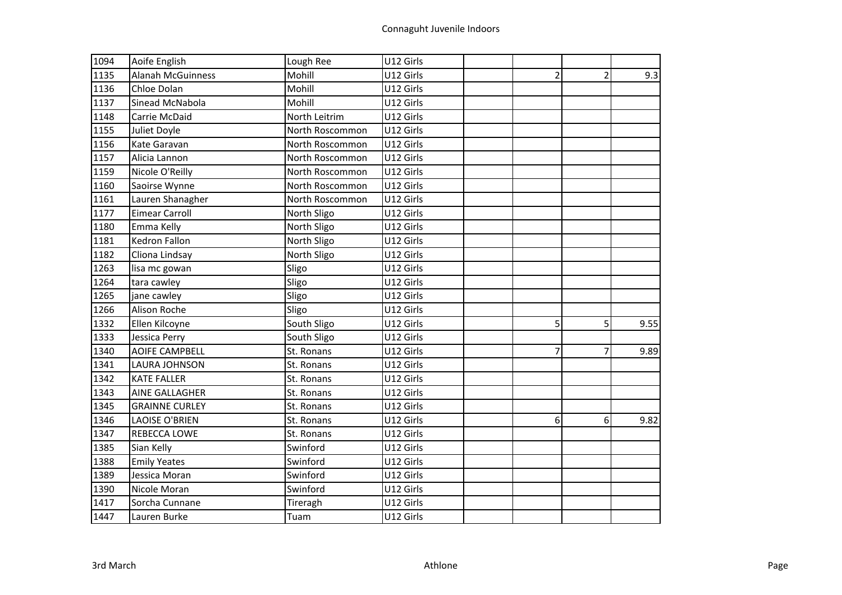| 1094 | Aoife English            | Lough Ree       | U12 Girls |   |                |      |
|------|--------------------------|-----------------|-----------|---|----------------|------|
| 1135 | <b>Alanah McGuinness</b> | Mohill          | U12 Girls | 2 | $\overline{2}$ | 9.3  |
| 1136 | Chloe Dolan              | Mohill          | U12 Girls |   |                |      |
| 1137 | Sinead McNabola          | Mohill          | U12 Girls |   |                |      |
| 1148 | Carrie McDaid            | North Leitrim   | U12 Girls |   |                |      |
| 1155 | Juliet Doyle             | North Roscommon | U12 Girls |   |                |      |
| 1156 | Kate Garavan             | North Roscommon | U12 Girls |   |                |      |
| 1157 | Alicia Lannon            | North Roscommon | U12 Girls |   |                |      |
| 1159 | Nicole O'Reilly          | North Roscommon | U12 Girls |   |                |      |
| 1160 | Saoirse Wynne            | North Roscommon | U12 Girls |   |                |      |
| 1161 | Lauren Shanagher         | North Roscommon | U12 Girls |   |                |      |
| 1177 | <b>Eimear Carroll</b>    | North Sligo     | U12 Girls |   |                |      |
| 1180 | Emma Kelly               | North Sligo     | U12 Girls |   |                |      |
| 1181 | <b>Kedron Fallon</b>     | North Sligo     | U12 Girls |   |                |      |
| 1182 | Cliona Lindsay           | North Sligo     | U12 Girls |   |                |      |
| 1263 | lisa mc gowan            | Sligo           | U12 Girls |   |                |      |
| 1264 | tara cawley              | Sligo           | U12 Girls |   |                |      |
| 1265 | jane cawley              | Sligo           | U12 Girls |   |                |      |
| 1266 | Alison Roche             | Sligo           | U12 Girls |   |                |      |
| 1332 | Ellen Kilcoyne           | South Sligo     | U12 Girls | 5 | 5              | 9.55 |
| 1333 | Jessica Perry            | South Sligo     | U12 Girls |   |                |      |
| 1340 | <b>AOIFE CAMPBELL</b>    | St. Ronans      | U12 Girls | 7 | 7              | 9.89 |
| 1341 | <b>LAURA JOHNSON</b>     | St. Ronans      | U12 Girls |   |                |      |
| 1342 | <b>KATE FALLER</b>       | St. Ronans      | U12 Girls |   |                |      |
| 1343 | AINE GALLAGHER           | St. Ronans      | U12 Girls |   |                |      |
| 1345 | <b>GRAINNE CURLEY</b>    | St. Ronans      | U12 Girls |   |                |      |
| 1346 | <b>LAOISE O'BRIEN</b>    | St. Ronans      | U12 Girls | 6 | 6              | 9.82 |
| 1347 | REBECCA LOWE             | St. Ronans      | U12 Girls |   |                |      |
| 1385 | Sian Kelly               | Swinford        | U12 Girls |   |                |      |
| 1388 | <b>Emily Yeates</b>      | Swinford        | U12 Girls |   |                |      |
| 1389 | Jessica Moran            | Swinford        | U12 Girls |   |                |      |
| 1390 | Nicole Moran             | Swinford        | U12 Girls |   |                |      |
| 1417 | Sorcha Cunnane           | Tireragh        | U12 Girls |   |                |      |
| 1447 | Lauren Burke             | Tuam            | U12 Girls |   |                |      |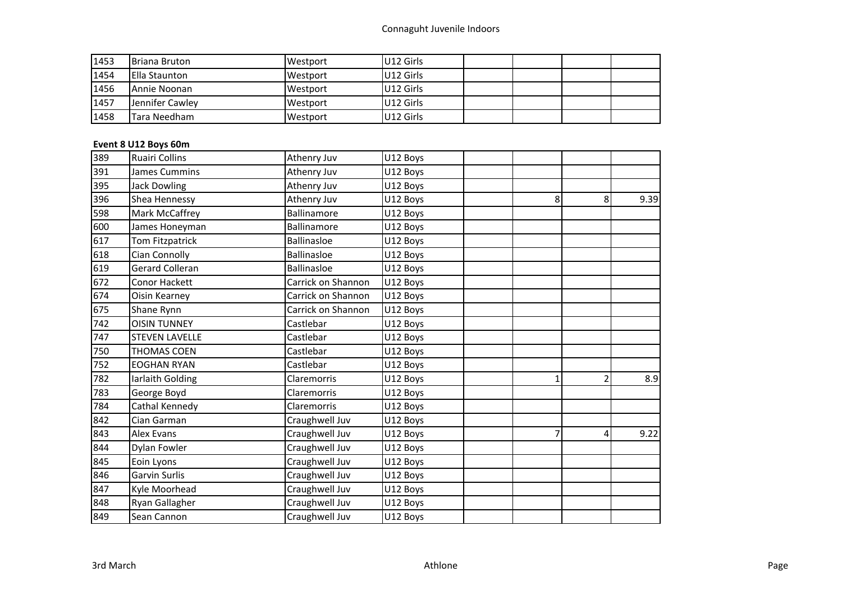| 1453 | <b>Briana Bruton</b> | Westport | U12 Girls |  |  |
|------|----------------------|----------|-----------|--|--|
| 1454 | <b>Ella Staunton</b> | Westport | U12 Girls |  |  |
| 1456 | Annie Noonan         | Westport | U12 Girls |  |  |
| 1457 | Jennifer Cawley      | Westport | U12 Girls |  |  |
| 1458 | <b>Tara Needham</b>  | Westport | U12 Girls |  |  |

# **Event 8 U12 Boys 60m**

| 389 | <b>Ruairi Collins</b>  | Athenry Juv        | U12 Boys |   |   |      |
|-----|------------------------|--------------------|----------|---|---|------|
| 391 | James Cummins          | Athenry Juv        | U12 Boys |   |   |      |
| 395 | <b>Jack Dowling</b>    | Athenry Juv        | U12 Boys |   |   |      |
| 396 | Shea Hennessy          | Athenry Juv        | U12 Boys | 8 | 8 | 9.39 |
| 598 | Mark McCaffrey         | Ballinamore        | U12 Boys |   |   |      |
| 600 | James Honeyman         | Ballinamore        | U12 Boys |   |   |      |
| 617 | Tom Fitzpatrick        | <b>Ballinasloe</b> | U12 Boys |   |   |      |
| 618 | Cian Connolly          | <b>Ballinasloe</b> | U12 Boys |   |   |      |
| 619 | <b>Gerard Colleran</b> | <b>Ballinasloe</b> | U12 Boys |   |   |      |
| 672 | Conor Hackett          | Carrick on Shannon | U12 Boys |   |   |      |
| 674 | Oisin Kearney          | Carrick on Shannon | U12 Boys |   |   |      |
| 675 | Shane Rynn             | Carrick on Shannon | U12 Boys |   |   |      |
| 742 | <b>OISIN TUNNEY</b>    | Castlebar          | U12 Boys |   |   |      |
| 747 | <b>STEVEN LAVELLE</b>  | Castlebar          | U12 Boys |   |   |      |
| 750 | <b>THOMAS COEN</b>     | Castlebar          | U12 Boys |   |   |      |
| 752 | <b>EOGHAN RYAN</b>     | Castlebar          | U12 Boys |   |   |      |
| 782 | Iarlaith Golding       | Claremorris        | U12 Boys |   | 2 | 8.9  |
| 783 | George Boyd            | Claremorris        | U12 Boys |   |   |      |
| 784 | Cathal Kennedy         | Claremorris        | U12 Boys |   |   |      |
| 842 | Cian Garman            | Craughwell Juv     | U12 Boys |   |   |      |
| 843 | <b>Alex Evans</b>      | Craughwell Juv     | U12 Boys | 7 | 4 | 9.22 |
| 844 | Dylan Fowler           | Craughwell Juv     | U12 Boys |   |   |      |
| 845 | Eoin Lyons             | Craughwell Juv     | U12 Boys |   |   |      |
| 846 | Garvin Surlis          | Craughwell Juv     | U12 Boys |   |   |      |
| 847 | Kyle Moorhead          | Craughwell Juv     | U12 Boys |   |   |      |
| 848 | Ryan Gallagher         | Craughwell Juv     | U12 Boys |   |   |      |
| 849 | Sean Cannon            | Craughwell Juv     | U12 Boys |   |   |      |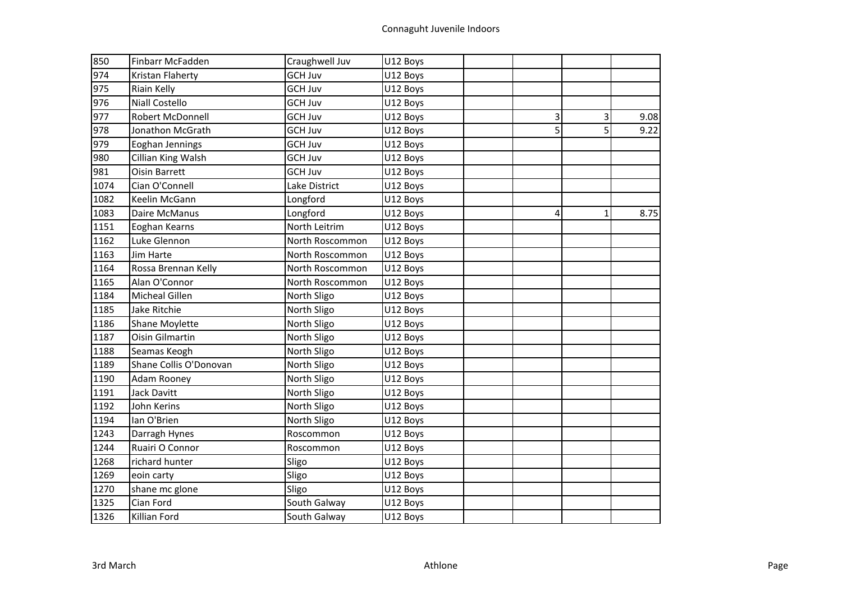| 850  | Finbarr McFadden       | Craughwell Juv  | U12 Boys |   |   |      |
|------|------------------------|-----------------|----------|---|---|------|
| 974  | Kristan Flaherty       | <b>GCH Juv</b>  | U12 Boys |   |   |      |
| 975  | Riain Kelly            | <b>GCH Juv</b>  | U12 Boys |   |   |      |
| 976  | Niall Costello         | <b>GCH Juv</b>  | U12 Boys |   |   |      |
| 977  | Robert McDonnell       | <b>GCH Juv</b>  | U12 Boys | 3 | 3 | 9.08 |
| 978  | Jonathon McGrath       | <b>GCH Juv</b>  | U12 Boys | 5 | 5 | 9.22 |
| 979  | Eoghan Jennings        | <b>GCH Juv</b>  | U12 Boys |   |   |      |
| 980  | Cillian King Walsh     | <b>GCH Juv</b>  | U12 Boys |   |   |      |
| 981  | <b>Oisin Barrett</b>   | <b>GCH Juv</b>  | U12 Boys |   |   |      |
| 1074 | Cian O'Connell         | Lake District   | U12 Boys |   |   |      |
| 1082 | Keelin McGann          | Longford        | U12 Boys |   |   |      |
| 1083 | Daire McManus          | Longford        | U12 Boys | 4 | 1 | 8.75 |
| 1151 | Eoghan Kearns          | North Leitrim   | U12 Boys |   |   |      |
| 1162 | Luke Glennon           | North Roscommon | U12 Boys |   |   |      |
| 1163 | Jim Harte              | North Roscommon | U12 Boys |   |   |      |
| 1164 | Rossa Brennan Kelly    | North Roscommon | U12 Boys |   |   |      |
| 1165 | Alan O'Connor          | North Roscommon | U12 Boys |   |   |      |
| 1184 | Micheal Gillen         | North Sligo     | U12 Boys |   |   |      |
| 1185 | Jake Ritchie           | North Sligo     | U12 Boys |   |   |      |
| 1186 | Shane Moylette         | North Sligo     | U12 Boys |   |   |      |
| 1187 | <b>Oisin Gilmartin</b> | North Sligo     | U12 Boys |   |   |      |
| 1188 | Seamas Keogh           | North Sligo     | U12 Boys |   |   |      |
| 1189 | Shane Collis O'Donovan | North Sligo     | U12 Boys |   |   |      |
| 1190 | Adam Rooney            | North Sligo     | U12 Boys |   |   |      |
| 1191 | Jack Davitt            | North Sligo     | U12 Boys |   |   |      |
| 1192 | John Kerins            | North Sligo     | U12 Boys |   |   |      |
| 1194 | lan O'Brien            | North Sligo     | U12 Boys |   |   |      |
| 1243 | Darragh Hynes          | Roscommon       | U12 Boys |   |   |      |
| 1244 | Ruairi O Connor        | Roscommon       | U12 Boys |   |   |      |
| 1268 | richard hunter         | Sligo           | U12 Boys |   |   |      |
| 1269 | eoin carty             | Sligo           | U12 Boys |   |   |      |
| 1270 | shane mc glone         | Sligo           | U12 Boys |   |   |      |
| 1325 | Cian Ford              | South Galway    | U12 Boys |   |   |      |
| 1326 | Killian Ford           | South Galway    | U12 Boys |   |   |      |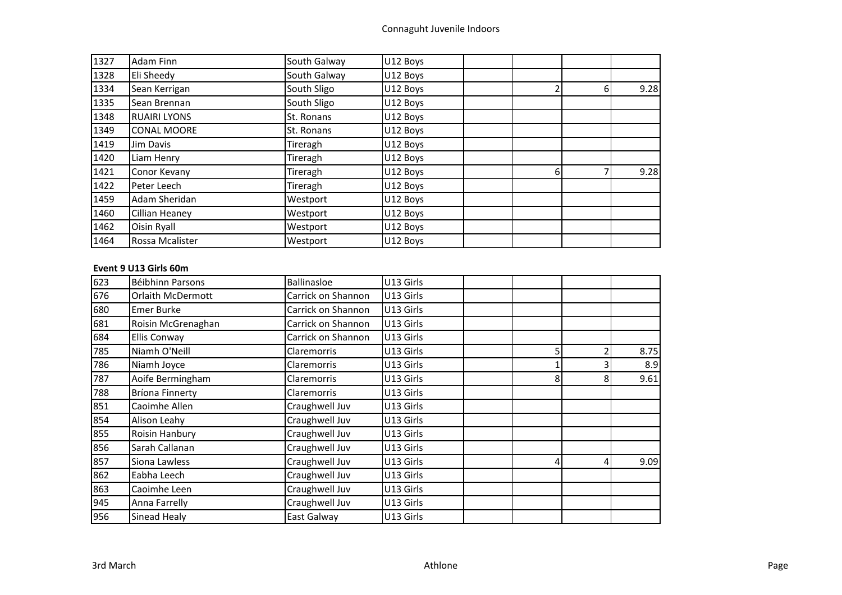| 1327 | Adam Finn           | South Galway | U12 Boys |   |          |      |
|------|---------------------|--------------|----------|---|----------|------|
| 1328 | Eli Sheedy          | South Galway | U12 Boys |   |          |      |
| 1334 | Sean Kerrigan       | South Sligo  | U12 Boys |   | $6 \mid$ | 9.28 |
| 1335 | Sean Brennan        | South Sligo  | U12 Boys |   |          |      |
| 1348 | <b>RUAIRI LYONS</b> | St. Ronans   | U12 Boys |   |          |      |
| 1349 | <b>CONAL MOORE</b>  | St. Ronans   | U12 Boys |   |          |      |
| 1419 | Jim Davis           | Tireragh     | U12 Boys |   |          |      |
| 1420 | Liam Henry          | Tireragh     | U12 Boys |   |          |      |
| 1421 | Conor Kevany        | Tireragh     | U12 Boys | 6 |          | 9.28 |
| 1422 | Peter Leech         | Tireragh     | U12 Boys |   |          |      |
| 1459 | Adam Sheridan       | Westport     | U12 Boys |   |          |      |
| 1460 | Cillian Heaney      | Westport     | U12 Boys |   |          |      |
| 1462 | Oisin Ryall         | Westport     | U12 Boys |   |          |      |
| 1464 | Rossa Mcalister     | Westport     | U12 Boys |   |          |      |

### **Event 9 U13 Girls 60m**

| 623 | Béibhinn Parsons         | Ballinasloe        | U13 Girls |   |   |      |
|-----|--------------------------|--------------------|-----------|---|---|------|
| 676 | <b>Orlaith McDermott</b> | Carrick on Shannon | U13 Girls |   |   |      |
| 680 | <b>Emer Burke</b>        | Carrick on Shannon | U13 Girls |   |   |      |
| 681 | Roisin McGrenaghan       | Carrick on Shannon | U13 Girls |   |   |      |
| 684 | <b>Ellis Conway</b>      | Carrick on Shannon | U13 Girls |   |   |      |
| 785 | Niamh O'Neill            | Claremorris        | U13 Girls | 5 |   | 8.75 |
| 786 | Niamh Joyce              | Claremorris        | U13 Girls |   |   | 8.9  |
| 787 | Aoife Bermingham         | Claremorris        | U13 Girls | 8 | 8 | 9.61 |
| 788 | <b>Bríona Finnerty</b>   | Claremorris        | U13 Girls |   |   |      |
| 851 | Caoimhe Allen            | Craughwell Juv     | U13 Girls |   |   |      |
| 854 | Alison Leahy             | Craughwell Juv     | U13 Girls |   |   |      |
| 855 | Roisin Hanbury           | Craughwell Juv     | U13 Girls |   |   |      |
| 856 | Sarah Callanan           | Craughwell Juv     | U13 Girls |   |   |      |
| 857 | Siona Lawless            | Craughwell Juv     | U13 Girls | 4 | 4 | 9.09 |
| 862 | Eabha Leech              | Craughwell Juv     | U13 Girls |   |   |      |
| 863 | Caoimhe Leen             | Craughwell Juv     | U13 Girls |   |   |      |
| 945 | Anna Farrelly            | Craughwell Juv     | U13 Girls |   |   |      |
| 956 | Sinead Healy             | East Galway        | U13 Girls |   |   |      |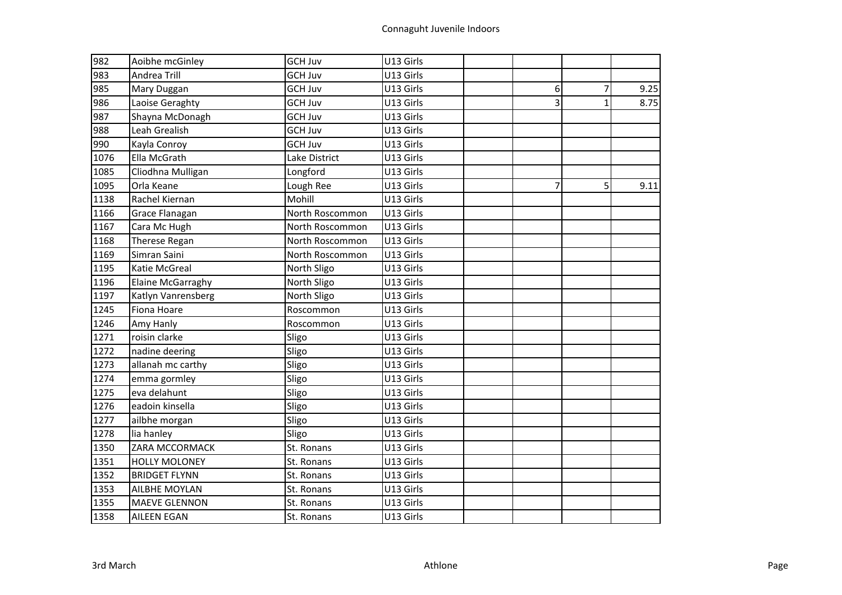| 982  | Aoibhe mcGinley      | <b>GCH Juv</b>  | U13 Girls |                |                |      |
|------|----------------------|-----------------|-----------|----------------|----------------|------|
| 983  | Andrea Trill         | <b>GCH Juv</b>  | U13 Girls |                |                |      |
| 985  | Mary Duggan          | <b>GCH Juv</b>  | U13 Girls | 6              | $\overline{7}$ | 9.25 |
| 986  | Laoise Geraghty      | <b>GCH Juv</b>  | U13 Girls | $\overline{3}$ | $\mathbf{1}$   | 8.75 |
| 987  | Shayna McDonagh      | <b>GCH Juv</b>  | U13 Girls |                |                |      |
| 988  | Leah Grealish        | <b>GCH Juv</b>  | U13 Girls |                |                |      |
| 990  | Kayla Conroy         | <b>GCH Juv</b>  | U13 Girls |                |                |      |
| 1076 | Ella McGrath         | Lake District   | U13 Girls |                |                |      |
| 1085 | Cliodhna Mulligan    | Longford        | U13 Girls |                |                |      |
| 1095 | Orla Keane           | Lough Ree       | U13 Girls | 7              | 5              | 9.11 |
| 1138 | Rachel Kiernan       | Mohill          | U13 Girls |                |                |      |
| 1166 | Grace Flanagan       | North Roscommon | U13 Girls |                |                |      |
| 1167 | Cara Mc Hugh         | North Roscommon | U13 Girls |                |                |      |
| 1168 | Therese Regan        | North Roscommon | U13 Girls |                |                |      |
| 1169 | Simran Saini         | North Roscommon | U13 Girls |                |                |      |
| 1195 | Katie McGreal        | North Sligo     | U13 Girls |                |                |      |
| 1196 | Elaine McGarraghy    | North Sligo     | U13 Girls |                |                |      |
| 1197 | Katlyn Vanrensberg   | North Sligo     | U13 Girls |                |                |      |
| 1245 | Fiona Hoare          | Roscommon       | U13 Girls |                |                |      |
| 1246 | Amy Hanly            | Roscommon       | U13 Girls |                |                |      |
| 1271 | roisin clarke        | Sligo           | U13 Girls |                |                |      |
| 1272 | nadine deering       | Sligo           | U13 Girls |                |                |      |
| 1273 | allanah mc carthy    | Sligo           | U13 Girls |                |                |      |
| 1274 | emma gormley         | Sligo           | U13 Girls |                |                |      |
| 1275 | eva delahunt         | Sligo           | U13 Girls |                |                |      |
| 1276 | eadoin kinsella      | Sligo           | U13 Girls |                |                |      |
| 1277 | ailbhe morgan        | Sligo           | U13 Girls |                |                |      |
| 1278 | lia hanley           | Sligo           | U13 Girls |                |                |      |
| 1350 | ZARA MCCORMACK       | St. Ronans      | U13 Girls |                |                |      |
| 1351 | <b>HOLLY MOLONEY</b> | St. Ronans      | U13 Girls |                |                |      |
| 1352 | <b>BRIDGET FLYNN</b> | St. Ronans      | U13 Girls |                |                |      |
| 1353 | AILBHE MOYLAN        | St. Ronans      | U13 Girls |                |                |      |
| 1355 | <b>MAEVE GLENNON</b> | St. Ronans      | U13 Girls |                |                |      |
| 1358 | <b>AILEEN EGAN</b>   | St. Ronans      | U13 Girls |                |                |      |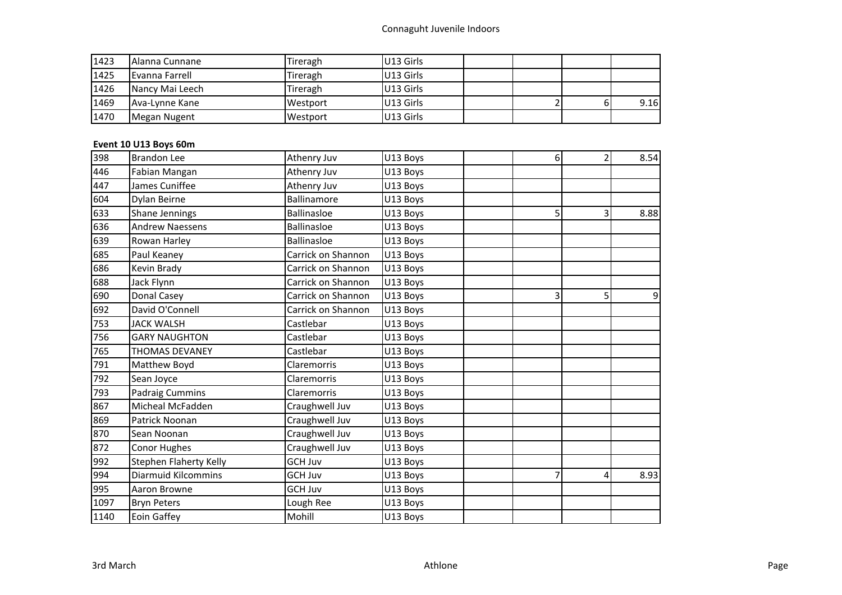# Connaguht Juvenile Indoors

| 1423 | <b>Alanna Cunnane</b> | Tireragh | U13 Girls |  |   |      |
|------|-----------------------|----------|-----------|--|---|------|
| 1425 | Evanna Farrell        | Tireragh | U13 Girls |  |   |      |
| 1426 | Nancy Mai Leech       | Tireragh | U13 Girls |  |   |      |
| 1469 | Ava-Lynne Kane        | Westport | U13 Girls |  | ы | 9.16 |
| 1470 | Megan Nugent          | Westport | U13 Girls |  |   |      |

# **Event 10 U13 Boys 60m**

| 398  | <b>Brandon Lee</b>         | Athenry Juv        | U13 Boys | 6 | 2 | 8.54 |
|------|----------------------------|--------------------|----------|---|---|------|
| 446  | Fabian Mangan              | Athenry Juv        | U13 Boys |   |   |      |
| 447  | James Cuniffee             | Athenry Juv        | U13 Boys |   |   |      |
| 604  | Dylan Beirne               | Ballinamore        | U13 Boys |   |   |      |
| 633  | Shane Jennings             | <b>Ballinasloe</b> | U13 Boys | 5 | 3 | 8.88 |
| 636  | <b>Andrew Naessens</b>     | <b>Ballinasloe</b> | U13 Boys |   |   |      |
| 639  | Rowan Harley               | <b>Ballinasloe</b> | U13 Boys |   |   |      |
| 685  | Paul Keaney                | Carrick on Shannon | U13 Boys |   |   |      |
| 686  | Kevin Brady                | Carrick on Shannon | U13 Boys |   |   |      |
| 688  | Jack Flynn                 | Carrick on Shannon | U13 Boys |   |   |      |
| 690  | Donal Casey                | Carrick on Shannon | U13 Boys | 3 | 5 | 9    |
| 692  | David O'Connell            | Carrick on Shannon | U13 Boys |   |   |      |
| 753  | <b>JACK WALSH</b>          | Castlebar          | U13 Boys |   |   |      |
| 756  | <b>GARY NAUGHTON</b>       | Castlebar          | U13 Boys |   |   |      |
| 765  | <b>THOMAS DEVANEY</b>      | Castlebar          | U13 Boys |   |   |      |
| 791  | Matthew Boyd               | Claremorris        | U13 Boys |   |   |      |
| 792  | Sean Joyce                 | Claremorris        | U13 Boys |   |   |      |
| 793  | <b>Padraig Cummins</b>     | Claremorris        | U13 Boys |   |   |      |
| 867  | Micheal McFadden           | Craughwell Juv     | U13 Boys |   |   |      |
| 869  | Patrick Noonan             | Craughwell Juv     | U13 Boys |   |   |      |
| 870  | Sean Noonan                | Craughwell Juv     | U13 Boys |   |   |      |
| 872  | Conor Hughes               | Craughwell Juv     | U13 Boys |   |   |      |
| 992  | Stephen Flaherty Kelly     | <b>GCH Juv</b>     | U13 Boys |   |   |      |
| 994  | <b>Diarmuid Kilcommins</b> | <b>GCH Juv</b>     | U13 Boys |   | 4 | 8.93 |
| 995  | Aaron Browne               | <b>GCH Juv</b>     | U13 Boys |   |   |      |
| 1097 | <b>Bryn Peters</b>         | Lough Ree          | U13 Boys |   |   |      |
| 1140 | Eoin Gaffey                | Mohill             | U13 Boys |   |   |      |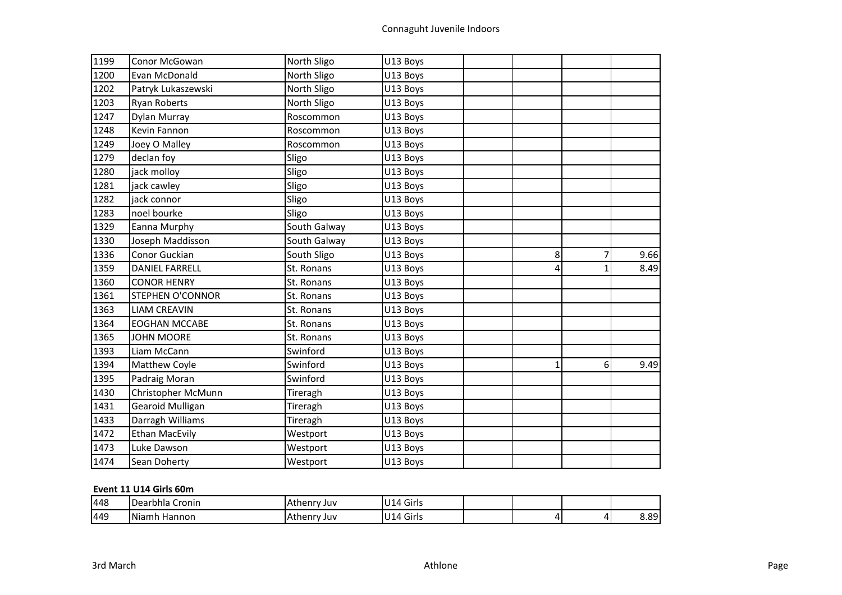| 1199 | Conor McGowan           | North Sligo  | U13 Boys |              |   |      |
|------|-------------------------|--------------|----------|--------------|---|------|
| 1200 | Evan McDonald           | North Sligo  | U13 Boys |              |   |      |
| 1202 | Patryk Lukaszewski      | North Sligo  | U13 Boys |              |   |      |
| 1203 | <b>Ryan Roberts</b>     | North Sligo  | U13 Boys |              |   |      |
| 1247 | Dylan Murray            | Roscommon    | U13 Boys |              |   |      |
| 1248 | Kevin Fannon            | Roscommon    | U13 Boys |              |   |      |
| 1249 | Joey O Malley           | Roscommon    | U13 Boys |              |   |      |
| 1279 | declan foy              | Sligo        | U13 Boys |              |   |      |
| 1280 | jack molloy             | Sligo        | U13 Boys |              |   |      |
| 1281 | jack cawley             | Sligo        | U13 Boys |              |   |      |
| 1282 | jack connor             | Sligo        | U13 Boys |              |   |      |
| 1283 | noel bourke             | Sligo        | U13 Boys |              |   |      |
| 1329 | Eanna Murphy            | South Galway | U13 Boys |              |   |      |
| 1330 | Joseph Maddisson        | South Galway | U13 Boys |              |   |      |
| 1336 | Conor Guckian           | South Sligo  | U13 Boys | 8            | 7 | 9.66 |
| 1359 | <b>DANIEL FARRELL</b>   | St. Ronans   | U13 Boys | 4            |   | 8.49 |
| 1360 | <b>CONOR HENRY</b>      | St. Ronans   | U13 Boys |              |   |      |
| 1361 | <b>STEPHEN O'CONNOR</b> | St. Ronans   | U13 Boys |              |   |      |
| 1363 | <b>LIAM CREAVIN</b>     | St. Ronans   | U13 Boys |              |   |      |
| 1364 | <b>EOGHAN MCCABE</b>    | St. Ronans   | U13 Boys |              |   |      |
| 1365 | <b>JOHN MOORE</b>       | St. Ronans   | U13 Boys |              |   |      |
| 1393 | Liam McCann             | Swinford     | U13 Boys |              |   |      |
| 1394 | Matthew Coyle           | Swinford     | U13 Boys | $\mathbf{1}$ | 6 | 9.49 |
| 1395 | Padraig Moran           | Swinford     | U13 Boys |              |   |      |
| 1430 | Christopher McMunn      | Tireragh     | U13 Boys |              |   |      |
| 1431 | Gearoid Mulligan        | Tireragh     | U13 Boys |              |   |      |
| 1433 | Darragh Williams        | Tireragh     | U13 Boys |              |   |      |
| 1472 | <b>Ethan MacEvily</b>   | Westport     | U13 Boys |              |   |      |
| 1473 | Luke Dawson             | Westport     | U13 Boys |              |   |      |
| 1474 | Sean Doherty            | Westport     | U13 Boys |              |   |      |

# **Event 11 U14 Girls 60m**

| 448 | Dearbhla<br>Cronin     | henrv<br>Juv   | <b>U14 Girls</b>         |  |                 |
|-----|------------------------|----------------|--------------------------|--|-----------------|
| 449 | <b>Niamh</b><br>Hannon | Athenry<br>Juv | Girls<br>U <sub>14</sub> |  | $\circ$<br>0.03 |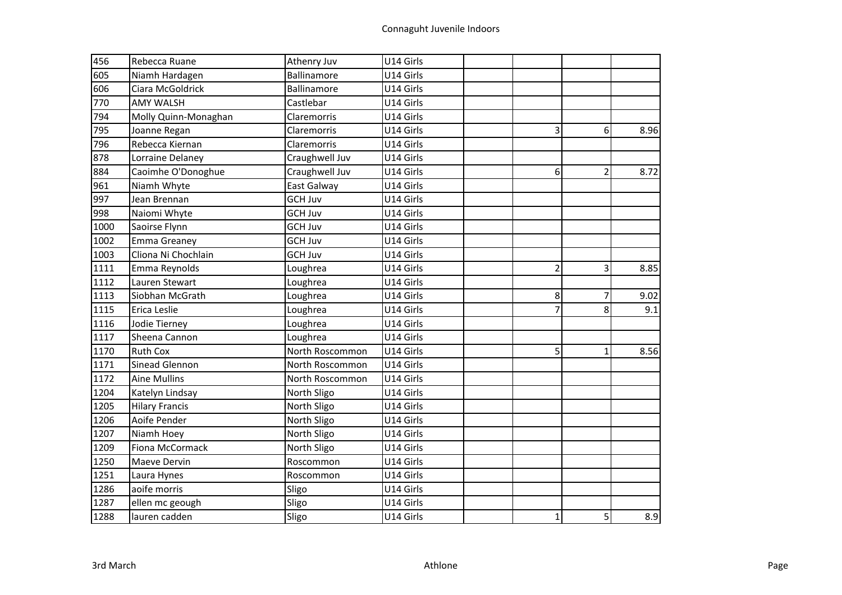| 456  | Rebecca Ruane         | Athenry Juv     | U14 Girls |                |                |      |
|------|-----------------------|-----------------|-----------|----------------|----------------|------|
| 605  | Niamh Hardagen        | Ballinamore     | U14 Girls |                |                |      |
| 606  | Ciara McGoldrick      | Ballinamore     | U14 Girls |                |                |      |
| 770  | <b>AMY WALSH</b>      | Castlebar       | U14 Girls |                |                |      |
| 794  | Molly Quinn-Monaghan  | Claremorris     | U14 Girls |                |                |      |
| 795  | Joanne Regan          | Claremorris     | U14 Girls | 3              | 6              | 8.96 |
| 796  | Rebecca Kiernan       | Claremorris     | U14 Girls |                |                |      |
| 878  | Lorraine Delaney      | Craughwell Juv  | U14 Girls |                |                |      |
| 884  | Caoimhe O'Donoghue    | Craughwell Juv  | U14 Girls | 6              | $\overline{2}$ | 8.72 |
| 961  | Niamh Whyte           | East Galway     | U14 Girls |                |                |      |
| 997  | Jean Brennan          | <b>GCH Juv</b>  | U14 Girls |                |                |      |
| 998  | Naiomi Whyte          | <b>GCH Juv</b>  | U14 Girls |                |                |      |
| 1000 | Saoirse Flynn         | <b>GCH Juv</b>  | U14 Girls |                |                |      |
| 1002 | <b>Emma Greaney</b>   | <b>GCH Juv</b>  | U14 Girls |                |                |      |
| 1003 | Cliona Ni Chochlain   | <b>GCH Juv</b>  | U14 Girls |                |                |      |
| 1111 | Emma Reynolds         | Loughrea        | U14 Girls | $\overline{c}$ | 3              | 8.85 |
| 1112 | Lauren Stewart        | Loughrea        | U14 Girls |                |                |      |
| 1113 | Siobhan McGrath       | Loughrea        | U14 Girls | 8              | $\overline{7}$ | 9.02 |
| 1115 | Erica Leslie          | Loughrea        | U14 Girls | $\overline{7}$ | 8              | 9.1  |
| 1116 | Jodie Tierney         | Loughrea        | U14 Girls |                |                |      |
| 1117 | Sheena Cannon         | Loughrea        | U14 Girls |                |                |      |
| 1170 | <b>Ruth Cox</b>       | North Roscommon | U14 Girls | 5              | $\mathbf{1}$   | 8.56 |
| 1171 | Sinead Glennon        | North Roscommon | U14 Girls |                |                |      |
| 1172 | <b>Aine Mullins</b>   | North Roscommon | U14 Girls |                |                |      |
| 1204 | Katelyn Lindsay       | North Sligo     | U14 Girls |                |                |      |
| 1205 | <b>Hilary Francis</b> | North Sligo     | U14 Girls |                |                |      |
| 1206 | Aoife Pender          | North Sligo     | U14 Girls |                |                |      |
| 1207 | Niamh Hoey            | North Sligo     | U14 Girls |                |                |      |
| 1209 | Fiona McCormack       | North Sligo     | U14 Girls |                |                |      |
| 1250 | Maeve Dervin          | Roscommon       | U14 Girls |                |                |      |
| 1251 | Laura Hynes           | Roscommon       | U14 Girls |                |                |      |
| 1286 | aoife morris          | Sligo           | U14 Girls |                |                |      |
| 1287 | ellen mc geough       | Sligo           | U14 Girls |                |                |      |
| 1288 | lauren cadden         | Sligo           | U14 Girls | $\mathbf{1}$   | 5              | 8.9  |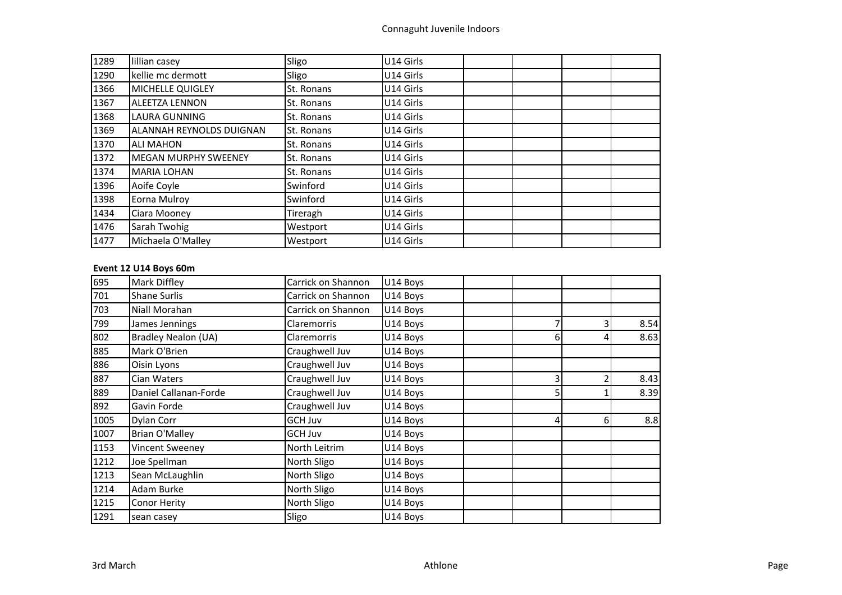| 1289 | lillian casey                   | Sligo             | U14 Girls |  |
|------|---------------------------------|-------------------|-----------|--|
| 1290 | kellie mc dermott               | Sligo             | U14 Girls |  |
| 1366 | MICHELLE QUIGLEY                | St. Ronans        | U14 Girls |  |
| 1367 | <b>ALEETZA LENNON</b>           | St. Ronans        | U14 Girls |  |
| 1368 | <b>LAURA GUNNING</b>            | St. Ronans        | U14 Girls |  |
| 1369 | <b>ALANNAH REYNOLDS DUIGNAN</b> | <b>St. Ronans</b> | U14 Girls |  |
| 1370 | <b>ALI MAHON</b>                | St. Ronans        | U14 Girls |  |
| 1372 | <b>MEGAN MURPHY SWEENEY</b>     | St. Ronans        | U14 Girls |  |
| 1374 | <b>MARIA LOHAN</b>              | St. Ronans        | U14 Girls |  |
| 1396 | Aoife Coyle                     | Swinford          | U14 Girls |  |
| 1398 | Eorna Mulroy                    | Swinford          | U14 Girls |  |
| 1434 | Ciara Mooney                    | Tireragh          | U14 Girls |  |
| 1476 | Sarah Twohig                    | Westport          | U14 Girls |  |
| 1477 | Michaela O'Malley               | Westport          | U14 Girls |  |

# **Event 12 U14 Boys 60m**

| 695  | Mark Diffley               | Carrick on Shannon | U14 Boys |    |    |      |
|------|----------------------------|--------------------|----------|----|----|------|
| 701  | <b>Shane Surlis</b>        | Carrick on Shannon | U14 Boys |    |    |      |
| 703  | Niall Morahan              | Carrick on Shannon | U14 Boys |    |    |      |
| 799  | James Jennings             | <b>Claremorris</b> | U14 Boys |    |    | 8.54 |
| 802  | <b>Bradley Nealon (UA)</b> | Claremorris        | U14 Boys | 6  |    | 8.63 |
| 885  | Mark O'Brien               | Craughwell Juv     | U14 Boys |    |    |      |
| 886  | Oisin Lyons                | Craughwell Juv     | U14 Boys |    |    |      |
| 887  | Cian Waters                | Craughwell Juv     | U14 Boys | 31 |    | 8.43 |
| 889  | Daniel Callanan-Forde      | Craughwell Juv     | U14 Boys | 51 |    | 8.39 |
| 892  | Gavin Forde                | Craughwell Juv     | U14 Boys |    |    |      |
| 1005 | Dylan Corr                 | GCH Juv            | U14 Boys | 4  | 61 | 8.8  |
| 1007 | <b>Brian O'Malley</b>      | GCH Juv            | U14 Boys |    |    |      |
| 1153 | Vincent Sweeney            | North Leitrim      | U14 Boys |    |    |      |
| 1212 | Joe Spellman               | North Sligo        | U14 Boys |    |    |      |
| 1213 | Sean McLaughlin            | North Sligo        | U14 Boys |    |    |      |
| 1214 | Adam Burke                 | North Sligo        | U14 Boys |    |    |      |
| 1215 | Conor Herity               | North Sligo        | U14 Boys |    |    |      |
| 1291 | sean casey                 | Sligo              | U14 Boys |    |    |      |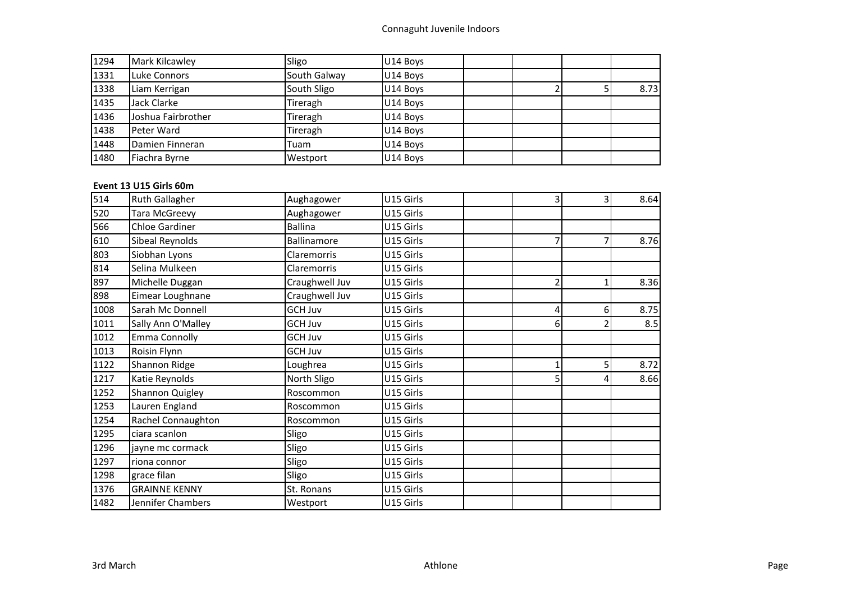| 1294 | Mark Kilcawley     | Sligo        | U14 Boys |  |      |
|------|--------------------|--------------|----------|--|------|
| 1331 | Luke Connors       | South Galway | U14 Boys |  |      |
| 1338 | Liam Kerrigan      | South Sligo  | U14 Boys |  | 8.73 |
| 1435 | Jack Clarke        | Tireragh     | U14 Boys |  |      |
| 1436 | Joshua Fairbrother | Tireragh     | U14 Boys |  |      |
| 1438 | Peter Ward         | Tireragh     | U14 Boys |  |      |
| 1448 | Damien Finneran    | Tuam         | U14 Boys |  |      |
| 1480 | Fiachra Byrne      | Westport     | U14 Boys |  |      |

# **Event 13 U15 Girls 60m**

| 514  | <b>Ruth Gallagher</b> | Aughagower     | U15 Girls | 31 | 3              | 8.64 |
|------|-----------------------|----------------|-----------|----|----------------|------|
| 520  | <b>Tara McGreevy</b>  | Aughagower     | U15 Girls |    |                |      |
| 566  | <b>Chloe Gardiner</b> | <b>Ballina</b> | U15 Girls |    |                |      |
| 610  | Sibeal Reynolds       | Ballinamore    | U15 Girls |    | 7              | 8.76 |
| 803  | Siobhan Lyons         | Claremorris    | U15 Girls |    |                |      |
| 814  | Selina Mulkeen        | Claremorris    | U15 Girls |    |                |      |
| 897  | Michelle Duggan       | Craughwell Juv | U15 Girls |    |                | 8.36 |
| 898  | Eimear Loughnane      | Craughwell Juv | U15 Girls |    |                |      |
| 1008 | Sarah Mc Donnell      | GCH Juv        | U15 Girls | 4  | 6              | 8.75 |
| 1011 | Sally Ann O'Malley    | <b>GCH Juv</b> | U15 Girls | 6  |                | 8.5  |
| 1012 | <b>Emma Connolly</b>  | <b>GCH Juv</b> | U15 Girls |    |                |      |
| 1013 | Roisin Flynn          | <b>GCH Juv</b> | U15 Girls |    |                |      |
| 1122 | Shannon Ridge         | Loughrea       | U15 Girls |    | 5 <sub>1</sub> | 8.72 |
| 1217 | Katie Reynolds        | North Sligo    | U15 Girls | 5  | 4              | 8.66 |
| 1252 | Shannon Quigley       | Roscommon      | U15 Girls |    |                |      |
| 1253 | Lauren England        | Roscommon      | U15 Girls |    |                |      |
| 1254 | Rachel Connaughton    | Roscommon      | U15 Girls |    |                |      |
| 1295 | ciara scanlon         | Sligo          | U15 Girls |    |                |      |
| 1296 | jayne mc cormack      | Sligo          | U15 Girls |    |                |      |
| 1297 | riona connor          | Sligo          | U15 Girls |    |                |      |
| 1298 | grace filan           | Sligo          | U15 Girls |    |                |      |
| 1376 | <b>GRAINNE KENNY</b>  | St. Ronans     | U15 Girls |    |                |      |
| 1482 | Jennifer Chambers     | Westport       | U15 Girls |    |                |      |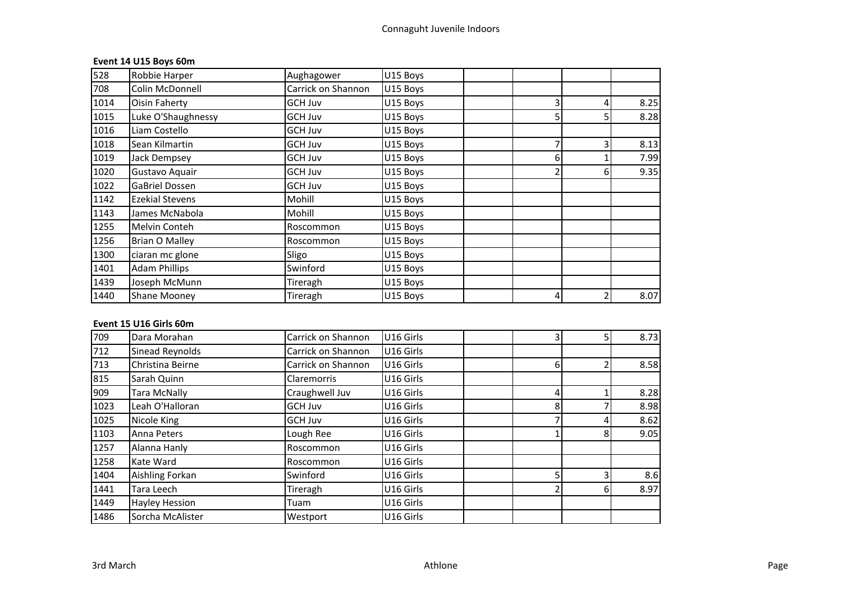# **Event 14 U15 Boys 60m**

| 528  | Robbie Harper          | Aughagower         | U15 Boys |   |    |      |
|------|------------------------|--------------------|----------|---|----|------|
| 708  | Colin McDonnell        | Carrick on Shannon | U15 Boys |   |    |      |
| 1014 | <b>Oisin Faherty</b>   | <b>GCH Juv</b>     | U15 Boys |   |    | 8.25 |
| 1015 | Luke O'Shaughnessy     | GCH Juv            | U15 Boys |   |    | 8.28 |
| 1016 | Liam Costello          | GCH Juv            | U15 Boys |   |    |      |
| 1018 | Sean Kilmartin         | <b>GCH Juv</b>     | U15 Boys |   |    | 8.13 |
| 1019 | Jack Dempsey           | GCH Juv            | U15 Boys | 6 |    | 7.99 |
| 1020 | Gustavo Aquair         | GCH Juv            | U15 Boys |   | 6. | 9.35 |
| 1022 | <b>GaBriel Dossen</b>  | <b>GCH Juv</b>     | U15 Boys |   |    |      |
| 1142 | <b>Ezekial Stevens</b> | Mohill             | U15 Boys |   |    |      |
| 1143 | James McNabola         | Mohill             | U15 Boys |   |    |      |
| 1255 | Melvin Conteh          | Roscommon          | U15 Boys |   |    |      |
| 1256 | Brian O Malley         | Roscommon          | U15 Boys |   |    |      |
| 1300 | ciaran mc glone        | Sligo              | U15 Boys |   |    |      |
| 1401 | <b>Adam Phillips</b>   | Swinford           | U15 Boys |   |    |      |
| 1439 | Joseph McMunn          | Tireragh           | U15 Boys |   |    |      |
| 1440 | <b>Shane Mooney</b>    | Tireragh           | U15 Boys |   |    | 8.07 |

# **Event 15 U16 Girls 60m**

| 709  | Dara Morahan          | Carrick on Shannon | U16 Girls | 3 |   | 8.73 |
|------|-----------------------|--------------------|-----------|---|---|------|
| 712  | Sinead Reynolds       | Carrick on Shannon | U16 Girls |   |   |      |
| 713  | Christina Beirne      | Carrick on Shannon | U16 Girls | 6 |   | 8.58 |
| 815  | Sarah Quinn           | <b>Claremorris</b> | U16 Girls |   |   |      |
| 909  | <b>Tara McNally</b>   | Craughwell Juv     | U16 Girls | 4 |   | 8.28 |
| 1023 | Leah O'Halloran       | <b>GCH Juv</b>     | U16 Girls |   |   | 8.98 |
| 1025 | Nicole King           | <b>GCH Juv</b>     | U16 Girls |   |   | 8.62 |
| 1103 | Anna Peters           | Lough Ree          | U16 Girls |   | 8 | 9.05 |
| 1257 | Alanna Hanly          | Roscommon          | U16 Girls |   |   |      |
| 1258 | Kate Ward             | Roscommon          | U16 Girls |   |   |      |
| 1404 | Aishling Forkan       | Swinford           | U16 Girls |   | ੨ | 8.6  |
| 1441 | Tara Leech            | Tireragh           | U16 Girls |   |   | 8.97 |
| 1449 | <b>Hayley Hession</b> | Tuam               | U16 Girls |   |   |      |
| 1486 | Sorcha McAlister      | Westport           | U16 Girls |   |   |      |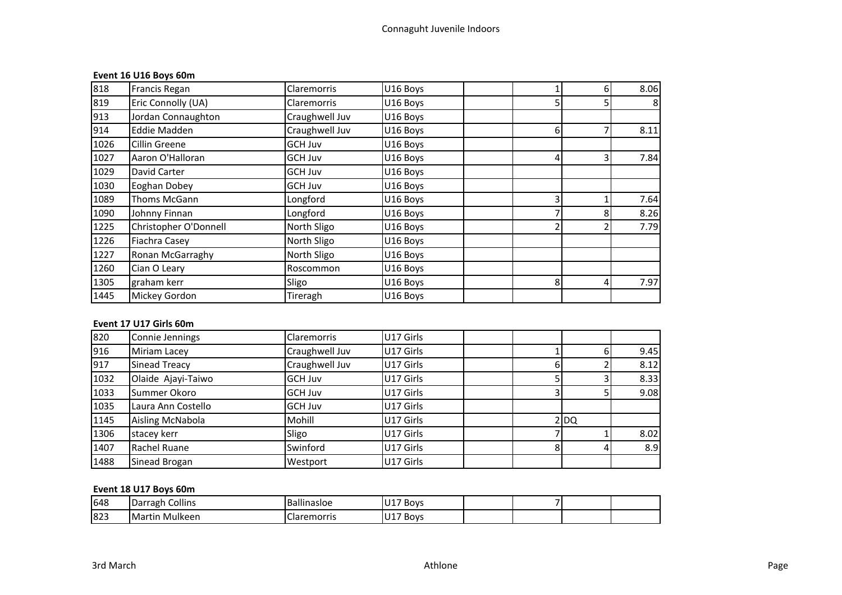# **Event 16 U16 Boys 60m**

| 818  | Francis Regan         | <b>Claremorris</b> | U16 Boys |   | 6  | 8.06 |
|------|-----------------------|--------------------|----------|---|----|------|
| 819  | Eric Connolly (UA)    | <b>Claremorris</b> | U16 Boys |   |    | 8    |
| 913  | Jordan Connaughton    | Craughwell Juv     | U16 Boys |   |    |      |
| 914  | <b>Eddie Madden</b>   | Craughwell Juv     | U16 Boys | 6 |    | 8.11 |
| 1026 | <b>Cillin Greene</b>  | GCH Juv            | U16 Boys |   |    |      |
| 1027 | Aaron O'Halloran      | <b>GCH Juv</b>     | U16 Boys |   |    | 7.84 |
| 1029 | David Carter          | GCH Juv            | U16 Boys |   |    |      |
| 1030 | Eoghan Dobey          | <b>GCH Juv</b>     | U16 Boys |   |    |      |
| 1089 | Thoms McGann          | Longford           | U16 Boys |   |    | 7.64 |
| 1090 | Johnny Finnan         | Longford           | U16 Boys |   |    | 8.26 |
| 1225 | Christopher O'Donnell | North Sligo        | U16 Boys |   |    | 7.79 |
| 1226 | Fiachra Casey         | North Sligo        | U16 Boys |   |    |      |
| 1227 | Ronan McGarraghy      | North Sligo        | U16 Boys |   |    |      |
| 1260 | Cian O Leary          | Roscommon          | U16 Boys |   |    |      |
| 1305 | graham kerr           | Sligo              | U16 Boys | 8 | 41 | 7.97 |
| 1445 | Mickey Gordon         | Tireragh           | U16 Boys |   |    |      |

# **Event 17 U17 Girls 60m**

| 820  | Connie Jennings      | <b>Claremorris</b> | U17 Girls |  |        |      |
|------|----------------------|--------------------|-----------|--|--------|------|
| 916  | Miriam Lacey         | Craughwell Juv     | U17 Girls |  |        | 9.45 |
| 917  | <b>Sinead Treacy</b> | Craughwell Juv     | U17 Girls |  |        | 8.12 |
| 1032 | Olaide Ajayi-Taiwo   | <b>GCH Juv</b>     | U17 Girls |  |        | 8.33 |
| 1033 | Summer Okoro         | <b>GCH Juv</b>     | U17 Girls |  |        | 9.08 |
| 1035 | Laura Ann Costello   | <b>GCH Juv</b>     | U17 Girls |  |        |      |
| 1145 | Aisling McNabola     | Mohill             | U17 Girls |  | $2$ DQ |      |
| 1306 | stacey kerr          | Sligo              | U17 Girls |  |        | 8.02 |
| 1407 | Rachel Ruane         | Swinford           | U17 Girls |  |        | 8.9  |
| 1488 | Sinead Brogan        | Westport           | U17 Girls |  |        |      |

# **Event 18 U17 Boys 60m**

| 648 | Collins<br><b>Darragh</b> | $\cdots$<br>.<br>allinasloe | <sup>''1</sup> 7 Boys |  |  |
|-----|---------------------------|-----------------------------|-----------------------|--|--|
| 823 | ı Mulkeen<br>Martır       | Claremorris                 | ''17 Boys             |  |  |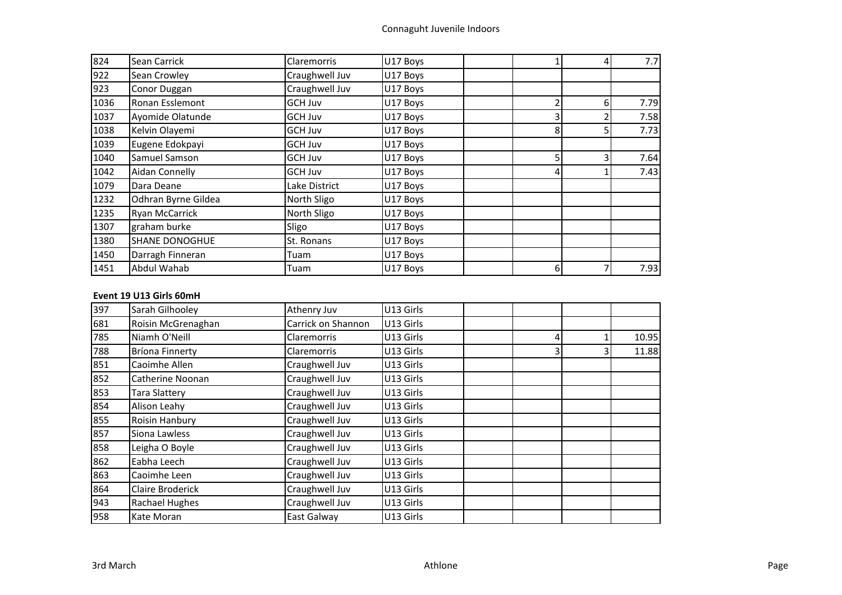| 824  | Sean Carrick          | <b>Claremorris</b> | U17 Boys |   | 4 | 7.7  |
|------|-----------------------|--------------------|----------|---|---|------|
| 922  | Sean Crowley          | Craughwell Juv     | U17 Boys |   |   |      |
| 923  | Conor Duggan          | Craughwell Juv     | U17 Boys |   |   |      |
| 1036 | Ronan Esslemont       | GCH Juv            | U17 Boys |   | 6 | 7.79 |
| 1037 | Ayomide Olatunde      | GCH Juv            | U17 Boys |   |   | 7.58 |
| 1038 | Kelvin Olayemi        | GCH Juv            | U17 Boys | 8 |   | 7.73 |
| 1039 | Eugene Edokpayi       | GCH Juv            | U17 Boys |   |   |      |
| 1040 | Samuel Samson         | GCH Juv            | U17 Boys |   |   | 7.64 |
| 1042 | Aidan Connelly        | GCH Juv            | U17 Boys |   |   | 7.43 |
| 1079 | Dara Deane            | Lake District      | U17 Boys |   |   |      |
| 1232 | Odhran Byrne Gildea   | North Sligo        | U17 Boys |   |   |      |
| 1235 | <b>Ryan McCarrick</b> | North Sligo        | U17 Boys |   |   |      |
| 1307 | graham burke          | Sligo              | U17 Boys |   |   |      |
| 1380 | <b>SHANE DONOGHUE</b> | St. Ronans         | U17 Boys |   |   |      |
| 1450 | Darragh Finneran      | Tuam               | U17 Boys |   |   |      |
| 1451 | Abdul Wahab           | Tuam               | U17 Boys | 6 |   | 7.93 |

### **Event 19 U13 Girls 60mH**

| 397 | Sarah Gilhooley         | Athenry Juv        | U13 Girls |    |       |
|-----|-------------------------|--------------------|-----------|----|-------|
| 681 | Roisin McGrenaghan      | Carrick on Shannon | U13 Girls |    |       |
| 785 | Niamh O'Neill           | <b>Claremorris</b> | U13 Girls | 4  | 10.95 |
| 788 | <b>Bríona Finnerty</b>  | <b>Claremorris</b> | U13 Girls | 31 | 11.88 |
| 851 | Caoimhe Allen           | Craughwell Juv     | U13 Girls |    |       |
| 852 | Catherine Noonan        | Craughwell Juv     | U13 Girls |    |       |
| 853 | <b>Tara Slattery</b>    | Craughwell Juv     | U13 Girls |    |       |
| 854 | Alison Leahy            | Craughwell Juv     | U13 Girls |    |       |
| 855 | Roisin Hanbury          | Craughwell Juv     | U13 Girls |    |       |
| 857 | Siona Lawless           | Craughwell Juv     | U13 Girls |    |       |
| 858 | Leigha O Boyle          | Craughwell Juv     | U13 Girls |    |       |
| 862 | Eabha Leech             | Craughwell Juv     | U13 Girls |    |       |
| 863 | Caoimhe Leen            | Craughwell Juv     | U13 Girls |    |       |
| 864 | <b>Claire Broderick</b> | Craughwell Juv     | U13 Girls |    |       |
| 943 | Rachael Hughes          | Craughwell Juv     | U13 Girls |    |       |
| 958 | Kate Moran              | East Galway        | U13 Girls |    |       |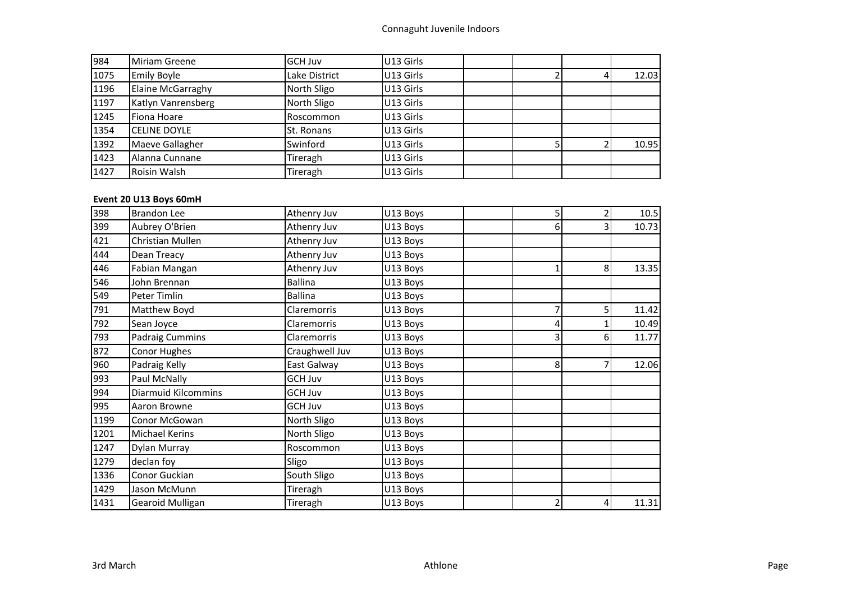| 984  | Miriam Greene       | <b>GCH Juv</b>    | U13 Girls |  |       |
|------|---------------------|-------------------|-----------|--|-------|
| 1075 | <b>Emily Boyle</b>  | Lake District     | U13 Girls |  | 12.03 |
| 1196 | Elaine McGarraghy   | North Sligo       | U13 Girls |  |       |
| 1197 | Katlyn Vanrensberg  | North Sligo       | U13 Girls |  |       |
| 1245 | Fiona Hoare         | Roscommon         | U13 Girls |  |       |
| 1354 | <b>CELINE DOYLE</b> | <b>St. Ronans</b> | U13 Girls |  |       |
| 1392 | Maeve Gallagher     | Swinford          | U13 Girls |  | 10.95 |
| 1423 | Alanna Cunnane      | Tireragh          | U13 Girls |  |       |
| 1427 | Roisin Walsh        | Tireragh          | U13 Girls |  |       |

# **Event 20 U13 Boys 60mH**

| 398  | <b>Brandon Lee</b>         | Athenry Juv    | U13 Boys | 5 | 2 | 10.5  |
|------|----------------------------|----------------|----------|---|---|-------|
| 399  | Aubrey O'Brien             | Athenry Juv    | U13 Boys | 6 |   | 10.73 |
| 421  | Christian Mullen           | Athenry Juv    | U13 Boys |   |   |       |
| 444  | Dean Treacy                | Athenry Juv    | U13 Boys |   |   |       |
| 446  | Fabian Mangan              | Athenry Juv    | U13 Boys |   | 8 | 13.35 |
| 546  | John Brennan               | <b>Ballina</b> | U13 Boys |   |   |       |
| 549  | Peter Timlin               | Ballina        | U13 Boys |   |   |       |
| 791  | Matthew Boyd               | Claremorris    | U13 Boys |   | 5 | 11.42 |
| 792  | Sean Joyce                 | Claremorris    | U13 Boys | 4 |   | 10.49 |
| 793  | <b>Padraig Cummins</b>     | Claremorris    | U13 Boys |   | 6 | 11.77 |
| 872  | Conor Hughes               | Craughwell Juv | U13 Boys |   |   |       |
| 960  | Padraig Kelly              | East Galway    | U13 Boys | 8 |   | 12.06 |
| 993  | Paul McNally               | <b>GCH Juv</b> | U13 Boys |   |   |       |
| 994  | <b>Diarmuid Kilcommins</b> | GCH Juv        | U13 Boys |   |   |       |
| 995  | Aaron Browne               | <b>GCH Juv</b> | U13 Boys |   |   |       |
| 1199 | Conor McGowan              | North Sligo    | U13 Boys |   |   |       |
| 1201 | <b>Michael Kerins</b>      | North Sligo    | U13 Boys |   |   |       |
| 1247 | Dylan Murray               | Roscommon      | U13 Boys |   |   |       |
| 1279 | declan foy                 | Sligo          | U13 Boys |   |   |       |
| 1336 | Conor Guckian              | South Sligo    | U13 Boys |   |   |       |
| 1429 | Jason McMunn               | Tireragh       | U13 Boys |   |   |       |
| 1431 | Gearoid Mulligan           | Tireragh       | U13 Boys | 2 | 4 | 11.31 |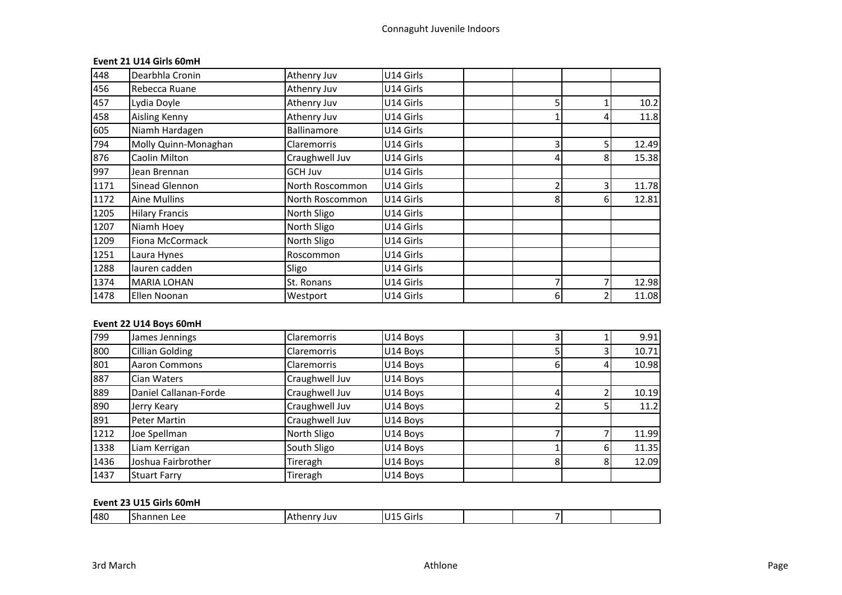# **Event 21 U14 Girls 60mH**

| 448  | Dearbhla Cronin       | Athenry Juv        | U14 Girls |    |   |       |
|------|-----------------------|--------------------|-----------|----|---|-------|
| 456  | Rebecca Ruane         | Athenry Juv        | U14 Girls |    |   |       |
| 457  | Lydia Doyle           | Athenry Juv        | U14 Girls | 5  |   | 10.2  |
| 458  | <b>Aisling Kenny</b>  | Athenry Juv        | U14 Girls |    |   | 11.8  |
| 605  | Niamh Hardagen        | Ballinamore        | U14 Girls |    |   |       |
| 794  | Molly Quinn-Monaghan  | <b>Claremorris</b> | U14 Girls | 3  |   | 12.49 |
| 876  | Caolin Milton         | Craughwell Juv     | U14 Girls | 4  | 8 | 15.38 |
| 997  | Jean Brennan          | GCH Juv            | U14 Girls |    |   |       |
| 1171 | Sinead Glennon        | North Roscommon    | U14 Girls |    |   | 11.78 |
| 1172 | Aine Mullins          | North Roscommon    | U14 Girls | 8  | 6 | 12.81 |
| 1205 | <b>Hilary Francis</b> | North Sligo        | U14 Girls |    |   |       |
| 1207 | Niamh Hoey            | North Sligo        | U14 Girls |    |   |       |
| 1209 | Fiona McCormack       | North Sligo        | U14 Girls |    |   |       |
| 1251 | Laura Hynes           | Roscommon          | U14 Girls |    |   |       |
| 1288 | lauren cadden         | Sligo              | U14 Girls |    |   |       |
| 1374 | <b>MARIA LOHAN</b>    | St. Ronans         | U14 Girls |    |   | 12.98 |
| 1478 | Ellen Noonan          | Westport           | U14 Girls | 61 |   | 11.08 |

# **Event 22 U14 Boys 60mH**

| 799  | James Jennings        | Claremorris        | U14 Boys |  | 9.91  |
|------|-----------------------|--------------------|----------|--|-------|
| 800  | Cillian Golding       | <b>Claremorris</b> | U14 Boys |  | 10.71 |
| 801  | <b>Aaron Commons</b>  | <b>Claremorris</b> | U14 Boys |  | 10.98 |
| 887  | Cian Waters           | Craughwell Juv     | U14 Boys |  |       |
| 889  | Daniel Callanan-Forde | Craughwell Juv     | U14 Boys |  | 10.19 |
| 890  | Jerry Keary           | Craughwell Juv     | U14 Boys |  | 11.2  |
| 891  | Peter Martin          | Craughwell Juv     | U14 Boys |  |       |
| 1212 | Joe Spellman          | North Sligo        | U14 Boys |  | 11.99 |
| 1338 | Liam Kerrigan         | South Sligo        | U14 Boys |  | 11.35 |
| 1436 | Joshua Fairbrother    | Tireragh           | U14 Boys |  | 12.09 |
| 1437 | <b>Stuart Farry</b>   | Tireragh           | U14 Boys |  |       |

### **Event 23 U15 Girls 60mH**

| 480<br><br>ШV<br>$\sim$ | Girls |  |  |
|-------------------------|-------|--|--|
|-------------------------|-------|--|--|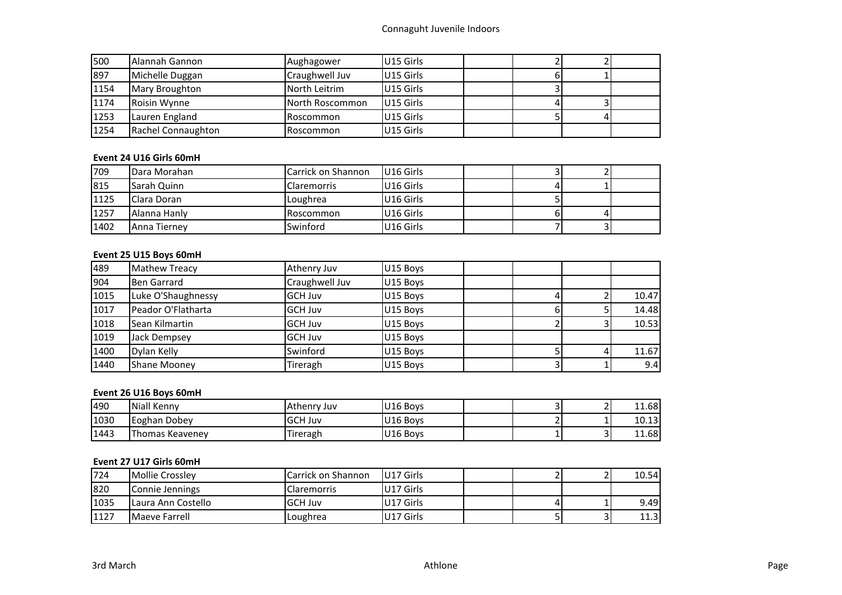# Connaguht Juvenile Indoors

| 500  | l Alannah Gannon    | Aughagower      | U15 Girls |  |  |
|------|---------------------|-----------------|-----------|--|--|
| 897  | Michelle Duggan     | Craughwell Juv  | U15 Girls |  |  |
| 1154 | Mary Broughton      | North Leitrim   | U15 Girls |  |  |
| 1174 | <b>Roisin Wynne</b> | North Roscommon | U15 Girls |  |  |
| 1253 | Lauren England      | Roscommon       | U15 Girls |  |  |
| 1254 | Rachel Connaughton  | Roscommon       | U15 Girls |  |  |

### **Event 24 U16 Girls 60mH**

| 709  | Dara Morahan        | Carrick on Shannon | <b>U16 Girls</b> |  |  |
|------|---------------------|--------------------|------------------|--|--|
| 815  | <b>Sarah Quinn</b>  | <b>Claremorris</b> | U16 Girls        |  |  |
| 1125 | <b>IClara Doran</b> | Loughrea           | U16 Girls        |  |  |
| 1257 | Alanna Hanly        | <b>Roscommon</b>   | U16 Girls        |  |  |
| 1402 | Anna Tierney        | Swinford           | U16 Girls        |  |  |

# **Event 25 U15 Boys 60mH**

| 489  | <b>Mathew Treacy</b>  | Athenry Juv    | U15 Boys |  |       |
|------|-----------------------|----------------|----------|--|-------|
| 904  | Ben Garrard           | Craughwell Juv | U15 Boys |  |       |
| 1015 | Luke O'Shaughnessy    | <b>GCH Juv</b> | U15 Boys |  | 10.47 |
| 1017 | Peador O'Flatharta    | <b>GCH Juv</b> | U15 Boys |  | 14.48 |
| 1018 | <b>Sean Kilmartin</b> | <b>GCH Juv</b> | U15 Boys |  | 10.53 |
| 1019 | Jack Dempsey          | <b>GCH Juv</b> | U15 Boys |  |       |
| 1400 | Dylan Kelly           | Swinford       | U15 Boys |  | 11.67 |
| 1440 | <b>Shane Moonev</b>   | Tireragh       | U15 Boys |  | 9.4   |

# **Event 26 U16 Boys 60mH**

| 490  | Niall Kenny            | TAthenry Juv   | U16 Bovs |  | -  | 11.68 |
|------|------------------------|----------------|----------|--|----|-------|
| 1030 | Eoghan Dobey           | <b>GCH Juv</b> | U16 Bovs |  |    | 10.13 |
| 1443 | <b>Thomas Keavenev</b> | Tireragh       | U16 Boys |  | ــ | 11.68 |

# **Event 27 U17 Girls 60mH**

| 724  | Mollie Crosslev      | Carrick on Shannon | U17 Girls |  | 10.54 |
|------|----------------------|--------------------|-----------|--|-------|
| 820  | Connie Jennings      | <b>Claremorris</b> | U17 Girls |  |       |
| 1035 | I Laura Ann Costello | <b>IGCH Juv</b>    | U17 Girls |  | 9.49  |
| 1127 | Maeve Farrell        | Loughrea           | U17 Girls |  | 11.3  |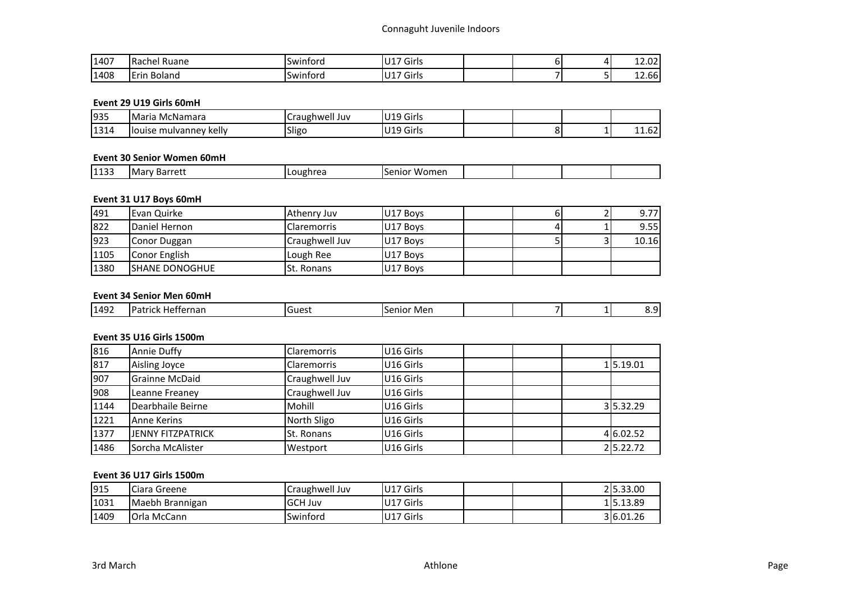| 1407 | -<br><b>IRachel</b><br>Ruane            | -<br>Swintord | ' '17 Girls |  | ר הרו<br>12.UZ            |
|------|-----------------------------------------|---------------|-------------|--|---------------------------|
| 1408 | $-$<br>$\sim$<br><b>Boland</b><br>IErin | Swintord      | ''17 Girls  |  | $\sim$<br>$\sim$<br>12.00 |

### **Event 29 U19 Girls 60mH**

| 935         | McNamara<br>.Maria            | Juv<br>Iraughwell      | U <sub>19</sub> Girls |  |                 |
|-------------|-------------------------------|------------------------|-----------------------|--|-----------------|
| 1314<br>___ | llouise<br>kelly<br>mulvannev | $\sim$ $\sim$<br>Sligc | Girls<br>U19          |  | $\sim$<br>11.UZ |

### **Event 30 Senior Women 60mH**

| 1133<br>nrrot:<br>Mai<br>™ignre.<br>nio<br>ber<br>vonei.<br>1 C L . |
|---------------------------------------------------------------------|
|---------------------------------------------------------------------|

# **Event 31 U17 Boys 60mH**

| 491  | Evan Quirke            | Athenry Juv        | U17 Boys |  | 9.77  |
|------|------------------------|--------------------|----------|--|-------|
| 822  | Daniel Hernon          | <b>Claremorris</b> | U17 Boys |  | 9.55  |
| 923  | Conor Duggan           | Craughwell Juv     | U17 Boys |  | 10.16 |
| 1105 | Conor English          | Lough Ree          | U17 Boys |  |       |
| 1380 | <b>ISHANE DONOGHUE</b> | <b>St. Ronans</b>  | U17 Boys |  |       |

#### **Event 34 Senior Men 60mH**

### **Event 35 U16 Girls 1500m**

| 816  | <b>Annie Duffy</b>       | <b>Claremorris</b> | U16 Girls             |  |           |
|------|--------------------------|--------------------|-----------------------|--|-----------|
| 817  | Aisling Joyce            | <b>Claremorris</b> | U <sub>16</sub> Girls |  | 15.19.01  |
| 907  | <b>Grainne McDaid</b>    | Craughwell Juv     | U16 Girls             |  |           |
| 908  | Leanne Freaney           | Craughwell Juv     | U <sub>16</sub> Girls |  |           |
| 1144 | Dearbhaile Beirne        | Mohill             | U16 Girls             |  | 35.32.29  |
| 1221 | <b>Anne Kerins</b>       | North Sligo        | U <sub>16</sub> Girls |  |           |
| 1377 | <b>JENNY FITZPATRICK</b> | St. Ronans         | U16 Girls             |  | 4 6.02.52 |
| 1486 | Sorcha McAlister         | Westport           | U16 Girls             |  | 25.22.72  |

### **Event 36 U17 Girls 1500m**

| 915  | Ciara Greene       | Craughwell Juv | U17 Girls | 25.33.00  |
|------|--------------------|----------------|-----------|-----------|
| 1031 | Maebh Brannigan    | <b>GCH Juv</b> | U17 Girls | 15.13.89  |
| 1409 | <b>Orla McCann</b> | Swinford       | U17 Girls | 3 6.01.26 |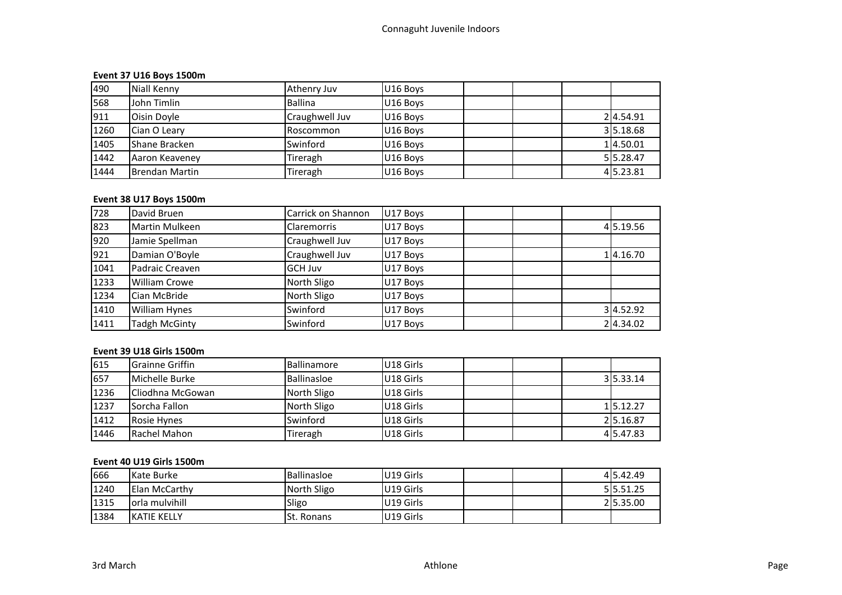# **Event 37 U16 Boys 1500m**

| 490  | Niall Kenny           | Athenry Juv      | U16 Boys |  |           |
|------|-----------------------|------------------|----------|--|-----------|
| 568  | John Timlin           | Ballina          | U16 Boys |  |           |
| 911  | Oisin Doyle           | Craughwell Juv   | U16 Boys |  | 24.54.91  |
| 1260 | <b>ICian O Learv</b>  | <b>Roscommon</b> | U16 Boys |  | 35.18.68  |
| 1405 | <b>Shane Bracken</b>  | Swinford         | U16 Boys |  | 14.50.01  |
| 1442 | Aaron Keaveney        | Tireragh         | U16 Boys |  | 55.28.47  |
| 1444 | <b>Brendan Martin</b> | Tireragh         | U16 Boys |  | 4 5.23.81 |

# **Event 38 U17 Boys 1500m**

| 728  | David Bruen          | Carrick on Shannon | U17 Boys |  |           |
|------|----------------------|--------------------|----------|--|-----------|
| 823  | Martin Mulkeen       | <b>Claremorris</b> | U17 Boys |  | 4 5.19.56 |
| 920  | Jamie Spellman       | Craughwell Juv     | U17 Boys |  |           |
| 921  | Damian O'Boyle       | Craughwell Juv     | U17 Boys |  | 14.16.70  |
| 1041 | Padraic Creaven      | <b>GCH Juv</b>     | U17 Boys |  |           |
| 1233 | William Crowe        | North Sligo        | U17 Boys |  |           |
| 1234 | Cian McBride         | North Sligo        | U17 Boys |  |           |
| 1410 | <b>William Hynes</b> | Swinford           | U17 Boys |  | 3 4.52.92 |
| 1411 | <b>Tadgh McGinty</b> | Swinford           | U17 Boys |  | 24.34.02  |

### **Event 39 U18 Girls 1500m**

| 615  | <b>IGrainne Griffin</b> | <b>Ballinamore</b> | U18 Girls             |  |          |
|------|-------------------------|--------------------|-----------------------|--|----------|
| 657  | Michelle Burke          | Ballinasloe        | U18 Girls             |  | 35.33.14 |
| 1236 | ICliodhna McGowan       | North Sligo        | U <sub>18</sub> Girls |  |          |
| 1237 | Sorcha Fallon           | North Sligo        | U18 Girls             |  | 15.12.27 |
| 1412 | Rosie Hynes             | Swinford           | U18 Girls             |  | 25.16.87 |
| 1446 | Rachel Mahon            | Tireragh           | U18 Girls             |  | 45.47.83 |

### **Event 40 U19 Girls 1500m**

| 666  | Kate Burke           | Ballinasloe       | U19 Girls |  | 415.42.49 |
|------|----------------------|-------------------|-----------|--|-----------|
| 1240 | <b>Elan McCarthy</b> | North Sligo       | U19 Girls |  | 5 5.51.25 |
| 1315 | lorla mulvihill      | Sligo             | U19 Girls |  | 25.35.00  |
| 1384 | <b>IKATIE KELLY</b>  | <b>St. Ronans</b> | U19 Girls |  |           |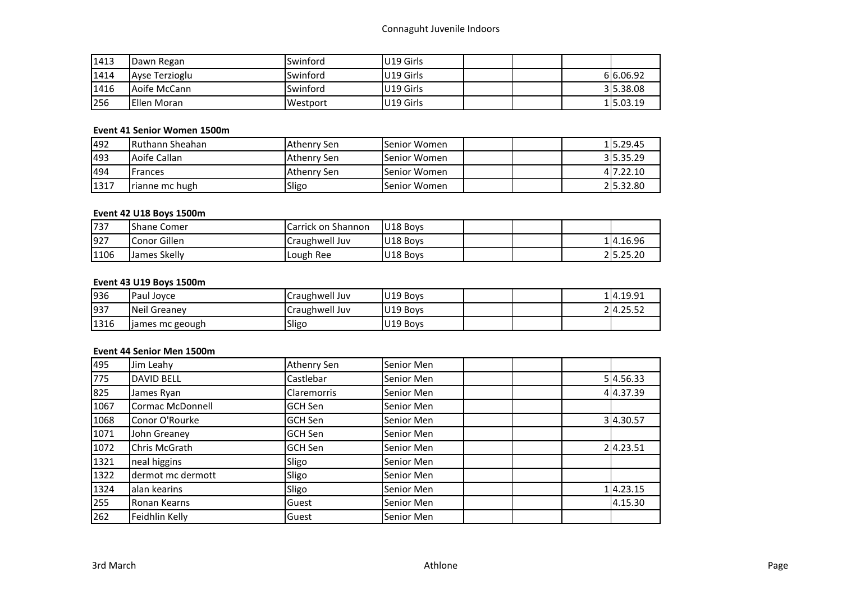# Connaguht Juvenile Indoors

| 1413 | Dawn Regan     | Swinford        | U19 Girls |  |           |
|------|----------------|-----------------|-----------|--|-----------|
| 1414 | Ayse Terzioglu | Swinford        | U19 Girls |  | 616.06.92 |
| 1416 | Aoife McCann   | <b>Swinford</b> | U19 Girls |  | 315.38.08 |
| 256  | Ellen Moran    | Westport        | U19 Girls |  | 15.03.19  |

# **Event 41 Senior Women 1500m**

| 492  | IRuthann Sheahan | Athenry Sen | Senior Women | 115.29.45 |
|------|------------------|-------------|--------------|-----------|
| 493  | Aoife Callan     | Athenry Sen | Senior Women | 35.35.29  |
| 494  | Frances          | Athenry Sen | Senior Women | 417.22.10 |
| 1317 | rianne mc hugh   | Sligo       | Senior Women | 25.32.80  |

# **Event 42 U18 Boys 1500m**

| 737  | <b>IShane Comer</b> | <b>Carrick on Shannon</b> | U18 Boys |  |          |
|------|---------------------|---------------------------|----------|--|----------|
| 927  | Conor Gillen        | Craughwell Juv            | U18 Boys |  | 14.16.96 |
| 1106 | James Skelly        | Lough Ree                 | U18 Boys |  | 25.25.20 |

# **Event 43 U19 Boys 1500m**

| 936  | Paul Jovce       | Craughwell Juv | U19 Boys |  | 14.19.91 |
|------|------------------|----------------|----------|--|----------|
| 937  | Neil Greanev     | Craughwell Juv | U19 Boys |  | 24.25.52 |
| 1316 | Jiames mc geough | Sligo          | U19 Boys |  |          |

# **Event 44 Senior Men 1500m**

| 495  | Jim Leahy               | Athenry Sen        | Senior Men |  |           |
|------|-------------------------|--------------------|------------|--|-----------|
| 775  | <b>DAVID BELL</b>       | Castlebar          | Senior Men |  | 5 4.56.33 |
| 825  | James Ryan              | <b>Claremorris</b> | Senior Men |  | 44.37.39  |
| 1067 | <b>Cormac McDonnell</b> | <b>GCH Sen</b>     | Senior Men |  |           |
| 1068 | Conor O'Rourke          | <b>GCH Sen</b>     | Senior Men |  | 34.30.57  |
| 1071 | John Greaney            | <b>GCH Sen</b>     | Senior Men |  |           |
| 1072 | Chris McGrath           | <b>GCH Sen</b>     | Senior Men |  | 24.23.51  |
| 1321 | neal higgins            | Sligo              | Senior Men |  |           |
| 1322 | dermot mc dermott       | Sligo              | Senior Men |  |           |
| 1324 | alan kearins            | Sligo              | Senior Men |  | 14.23.15  |
| 255  | Ronan Kearns            | Guest              | Senior Men |  | 4.15.30   |
| 262  | Feidhlin Kelly          | Guest              | Senior Men |  |           |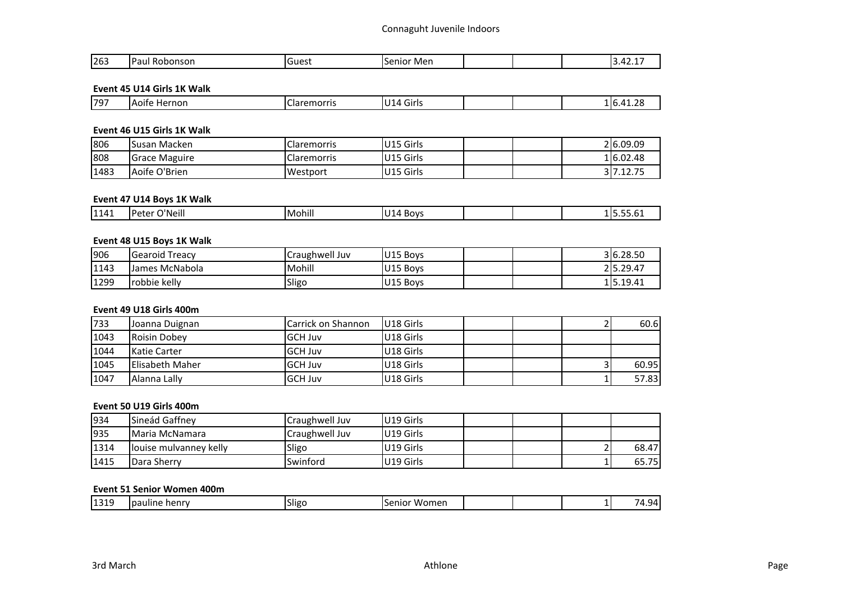| 263 | ־<br>onsor<br>ונונונו<br>aur-<br>. | 100 <sup>o</sup><br>.<br>uut.<br>$ -$ | Mer<br>$\sim$<br>וטור<br>$\sim$ $\sim$ $\sim$ $\sim$ $\sim$ $\sim$ |  |  |  | $\prime$ |
|-----|------------------------------------|---------------------------------------|--------------------------------------------------------------------|--|--|--|----------|
|-----|------------------------------------|---------------------------------------|--------------------------------------------------------------------|--|--|--|----------|

#### **Event 45 U14 Girls 1K Walk**

# **Event 46 U15 Girls 1K Walk**

| 806  | Susan Macken         | Claremorris | U15 Girls |  | 2 6.09.09 |
|------|----------------------|-------------|-----------|--|-----------|
| 808  | <b>Grace Maguire</b> | Claremorris | U15 Girls |  | 1 6.02.48 |
| 1483 | Aoife O'Brien        | Westport    | U15 Girls |  | 317.12.75 |

#### **Event 47 U14 Boys 1K Walk**

| 1141 | <br>''Neill<br><b>UO</b> | . 11<br>Mohill | <b>BOVS</b><br>14 |  | ΙD | <u>.</u> |
|------|--------------------------|----------------|-------------------|--|----|----------|
|      |                          |                |                   |  |    |          |

# **Event 48 U15 Boys 1K Walk**

| 906  | lGearoid Treacv | Craughwell Juv | U15 Boys | 3 6.28.50 |
|------|-----------------|----------------|----------|-----------|
| 1143 | Lames McNabola  | Mohill         | U15 Boys | 25.29.47  |
| 1299 | Irobbie kelly   | Sligo          | U15 Boys | 15.19.41  |

### **Event 49 U18 Girls 400m**

| 733  | Joanna Duignan         | Carrick on Shannon | U18 Girls |  | 60.6  |
|------|------------------------|--------------------|-----------|--|-------|
| 1043 | <b>Roisin Dobey</b>    | <b>IGCH Juv</b>    | U18 Girls |  |       |
| 1044 | <b>Katie Carter</b>    | <b>IGCH Juv</b>    | U18 Girls |  |       |
| 1045 | <b>Elisabeth Maher</b> | <b>IGCH Juv</b>    | U18 Girls |  | 60.95 |
| 1047 | Alanna Lally           | <b>IGCH Juv</b>    | U18 Girls |  | 57.83 |

### **Event 50 U19 Girls 400m**

| 934  | <b>Sineád Gaffney</b>  | Craughwell Juv | U19 Girls |  |       |
|------|------------------------|----------------|-----------|--|-------|
| 935  | Maria McNamara         | Craughwell Juv | U19 Girls |  |       |
| 1314 | Jouise mulvanney kelly | Sligo          | U19 Girls |  | 68.47 |
| 1415 | Dara Sherry            | Swinford       | U19 Girls |  | 65.75 |

#### **Event 51 Senior Women 400m**

| 1121C<br>$\sim$ $\cdot$<br><b>Sligr</b><br>henry<br>Womer<br>$-1$<br>,,<br>Ipauline<br>າເor<br>971<br>1 T O T 3<br>. |
|----------------------------------------------------------------------------------------------------------------------|
|----------------------------------------------------------------------------------------------------------------------|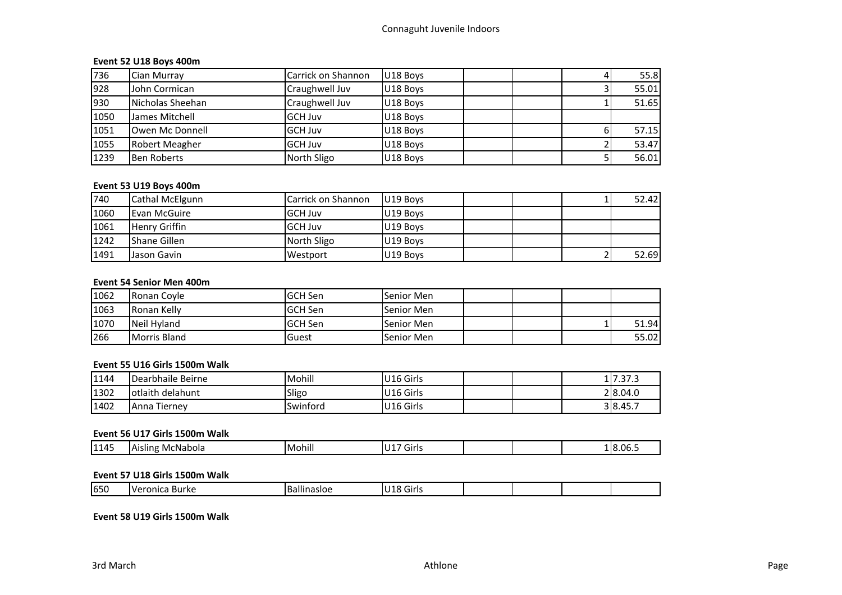# **Event 52 U18 Boys 400m**

| 736  | Cian Murray        | Carrick on Shannon | U18 Boys |  | 55.8  |
|------|--------------------|--------------------|----------|--|-------|
| 928  | John Cormican      | Craughwell Juv     | U18 Boys |  | 55.01 |
| 930  | Nicholas Sheehan   | Craughwell Juv     | U18 Boys |  | 51.65 |
| 1050 | James Mitchell     | <b>GCH Juv</b>     | U18 Boys |  |       |
| 1051 | Owen Mc Donnell    | <b>GCH Juv</b>     | U18 Boys |  | 57.15 |
| 1055 | Robert Meagher     | <b>GCH Juv</b>     | U18 Boys |  | 53.47 |
| 1239 | <b>Ben Roberts</b> | North Sligo        | U18 Boys |  | 56.01 |

# **Event 53 U19 Boys 400m**

| 740  | Cathal McElgunn      | Carrick on Shannon | U19 Boys |  | 52.42 |
|------|----------------------|--------------------|----------|--|-------|
| 1060 | Evan McGuire         | <b>GCH Juv</b>     | U19 Boys |  |       |
| 1061 | <b>Henry Griffin</b> | <b>GCH Juv</b>     | U19 Boys |  |       |
| 1242 | <b>Shane Gillen</b>  | North Sligo        | U19 Boys |  |       |
| 1491 | Jason Gavin          | Westport           | U19 Boys |  | 52.69 |

#### **Event 54 Senior Men 400m**

| 1062 | Ronan Coyle         | lGCH Sen        | Senior Men |  |       |
|------|---------------------|-----------------|------------|--|-------|
| 1063 | Ronan Kelly         | <b>IGCH Sen</b> | Senior Men |  |       |
| 1070 | Neil Hyland         | <b>GCH Sen</b>  | Senior Men |  | 51.94 |
| 266  | <b>Morris Bland</b> | lGuest          | Senior Men |  | 55.02 |

#### **Event 55 U16 Girls 1500m Walk**

| 1144 | Dearbhaile Beirne | Mohill   | U16 Girls | $.$ I $\tau$ $\tau$ $\tau$<br>11.37.3 |
|------|-------------------|----------|-----------|---------------------------------------|
| 1302 | lotlaith delahunt | Sligo    | U16 Girls | 2 8.04.0                              |
| 1402 | Anna Tierney      | Swintord | U16 Girls | 3 8.45.7                              |

# **Event 56 U17 Girls 1500m Walk**

| 14 <sup>r</sup><br>$\ddot{\phantom{0}}$<br> 11<br>8.06.5<br>18<br>- 17<br>McNabola<br>Mohili<br>$\cdot$ A $\cdot$<br>.<br>slını<br>u<br>נו ווט |  |
|------------------------------------------------------------------------------------------------------------------------------------------------|--|
|------------------------------------------------------------------------------------------------------------------------------------------------|--|

#### **Event 57 U18 Girls 1500m Walk**

| 650<br>.<br>. .<br>. i r I c<br>$\sim$<br>$-1$<br>Burke<br><br><br>`ronic…<br>ш<br>בווונט<br>n,<br>، ب رج<br>. . |
|------------------------------------------------------------------------------------------------------------------|
|------------------------------------------------------------------------------------------------------------------|

#### **Event 58 U19 Girls 1500m Walk**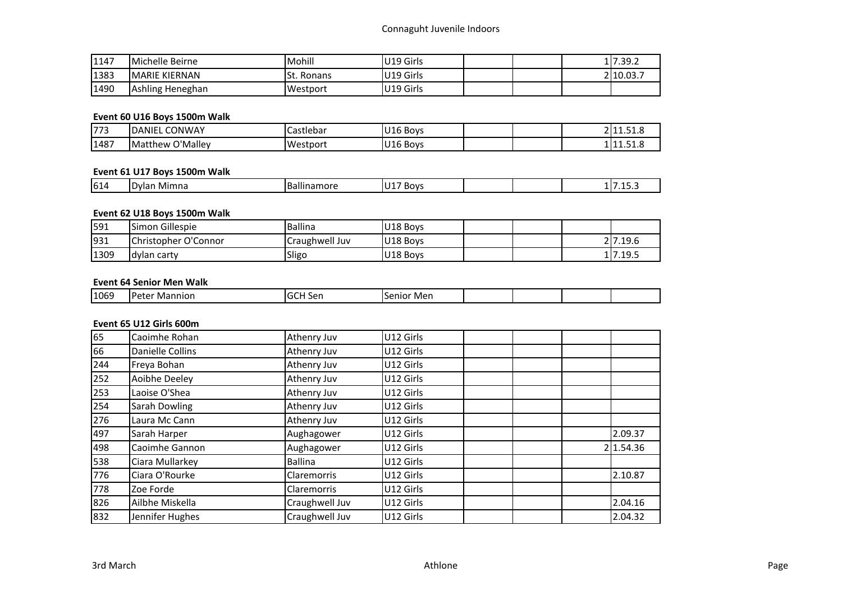| 1147 | Michelle Beirne  | Mohill        | U19 Girls |  | 117.39.2  |
|------|------------------|---------------|-----------|--|-----------|
| 1383 | MARIE KIERNAN    | lSt<br>Ronans | U19 Girls |  | 2 10.03.7 |
| 1490 | Ashling Heneghan | Westport      | U19 Girls |  |           |

# **Event 60 U16 Boys 1500m Walk**

| <b>1772</b><br>,,, | <b>CONWAY</b><br><b>DANIEL</b> | Castlebar | U16 Bovs             |  | <b>0144</b> | $-11.51.0$      |
|--------------------|--------------------------------|-----------|----------------------|--|-------------|-----------------|
| 1487               | つ'Malley<br><b>Matthew</b>     | Westport  | U <sub>16</sub> Boys |  |             | п.<br>-111.91.0 |

#### **Event 61 U17 Boys 1500m Walk**

| . . | 614 | $.111 -$<br>. MIF | . .<br>oov |  |  |
|-----|-----|-------------------|------------|--|--|
|     |     |                   |            |  |  |

# **Event 62 U18 Boys 1500m Walk**

| 591  | <b>ISimon Gillespie</b>      | Ballina        | U <sub>18</sub> Boys |  |          |
|------|------------------------------|----------------|----------------------|--|----------|
| 931  | <b>IChristopher O'Connor</b> | Craughwell Juv | U18 Bovs             |  | 2 7.19.6 |
| 1309 | ldylan carty                 | Sligo          | U18 Bovs             |  | 17.19.5  |

# **Event 64 Senior Men Walk**

| ו∩כו<br>ма<br>۵r<br>าเor<br>-- | 1069 | ınnıor | Mer |  |  |
|--------------------------------|------|--------|-----|--|--|
|                                |      |        |     |  |  |

# **Event 65 U12 Girls 600m**

| 65  | Caoimhe Rohan           | Athenry Juv        | U12 Girls |           |
|-----|-------------------------|--------------------|-----------|-----------|
| 66  | <b>Danielle Collins</b> | Athenry Juv        | U12 Girls |           |
| 244 | Freya Bohan             | Athenry Juv        | U12 Girls |           |
| 252 | Aoibhe Deeley           | Athenry Juv        | U12 Girls |           |
| 253 | Laoise O'Shea           | Athenry Juv        | U12 Girls |           |
| 254 | Sarah Dowling           | Athenry Juv        | U12 Girls |           |
| 276 | Laura Mc Cann           | Athenry Juv        | U12 Girls |           |
| 497 | Sarah Harper            | Aughagower         | U12 Girls | 2.09.37   |
| 498 | Caoimhe Gannon          | Aughagower         | U12 Girls | 2 1.54.36 |
| 538 | Ciara Mullarkey         | <b>Ballina</b>     | U12 Girls |           |
| 776 | Ciara O'Rourke          | <b>Claremorris</b> | U12 Girls | 2.10.87   |
| 778 | Zoe Forde               | <b>Claremorris</b> | U12 Girls |           |
| 826 | Ailbhe Miskella         | Craughwell Juv     | U12 Girls | 2.04.16   |
| 832 | Jennifer Hughes         | Craughwell Juv     | U12 Girls | 2.04.32   |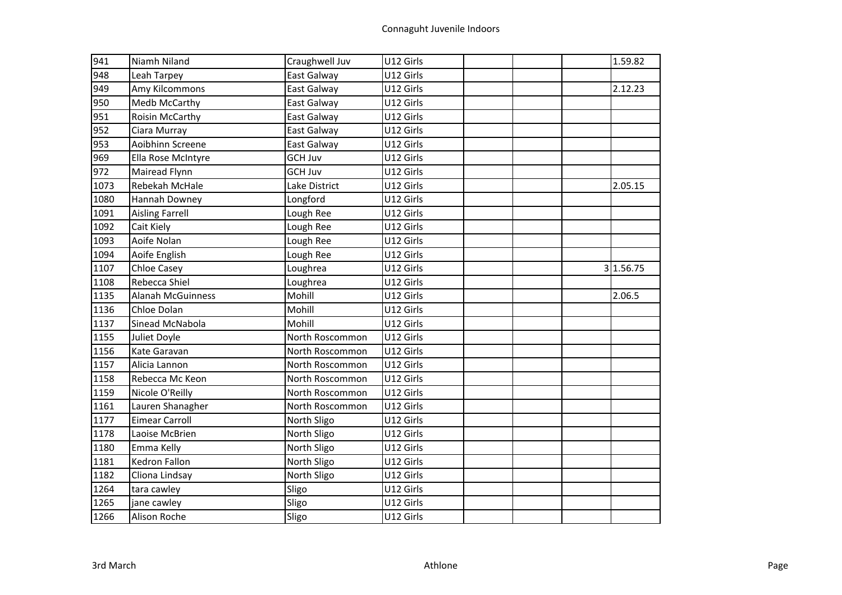| 941  | Niamh Niland             | Craughwell Juv  | U12 Girls |  | 1.59.82   |
|------|--------------------------|-----------------|-----------|--|-----------|
| 948  | Leah Tarpey              | East Galway     | U12 Girls |  |           |
| 949  | Amy Kilcommons           | East Galway     | U12 Girls |  | 2.12.23   |
| 950  | Medb McCarthy            | East Galway     | U12 Girls |  |           |
| 951  | Roisin McCarthy          | East Galway     | U12 Girls |  |           |
| 952  | Ciara Murray             | East Galway     | U12 Girls |  |           |
| 953  | Aoibhinn Screene         | East Galway     | U12 Girls |  |           |
| 969  | Ella Rose McIntyre       | <b>GCH Juv</b>  | U12 Girls |  |           |
| 972  | Mairead Flynn            | <b>GCH Juv</b>  | U12 Girls |  |           |
| 1073 | Rebekah McHale           | Lake District   | U12 Girls |  | 2.05.15   |
| 1080 | Hannah Downey            | Longford        | U12 Girls |  |           |
| 1091 | <b>Aisling Farrell</b>   | Lough Ree       | U12 Girls |  |           |
| 1092 | Cait Kiely               | Lough Ree       | U12 Girls |  |           |
| 1093 | Aoife Nolan              | Lough Ree       | U12 Girls |  |           |
| 1094 | Aoife English            | Lough Ree       | U12 Girls |  |           |
| 1107 | <b>Chloe Casey</b>       | Loughrea        | U12 Girls |  | 3 1.56.75 |
| 1108 | Rebecca Shiel            | Loughrea        | U12 Girls |  |           |
| 1135 | <b>Alanah McGuinness</b> | Mohill          | U12 Girls |  | 2.06.5    |
| 1136 | Chloe Dolan              | Mohill          | U12 Girls |  |           |
| 1137 | Sinead McNabola          | Mohill          | U12 Girls |  |           |
| 1155 | Juliet Doyle             | North Roscommon | U12 Girls |  |           |
| 1156 | Kate Garavan             | North Roscommon | U12 Girls |  |           |
| 1157 | Alicia Lannon            | North Roscommon | U12 Girls |  |           |
| 1158 | Rebecca Mc Keon          | North Roscommon | U12 Girls |  |           |
| 1159 | Nicole O'Reilly          | North Roscommon | U12 Girls |  |           |
| 1161 | Lauren Shanagher         | North Roscommon | U12 Girls |  |           |
| 1177 | Eimear Carroll           | North Sligo     | U12 Girls |  |           |
| 1178 | Laoise McBrien           | North Sligo     | U12 Girls |  |           |
| 1180 | Emma Kelly               | North Sligo     | U12 Girls |  |           |
| 1181 | Kedron Fallon            | North Sligo     | U12 Girls |  |           |
| 1182 | Cliona Lindsay           | North Sligo     | U12 Girls |  |           |
| 1264 | tara cawley              | Sligo           | U12 Girls |  |           |
| 1265 | jane cawley              | Sligo           | U12 Girls |  |           |
| 1266 | Alison Roche             | Sligo           | U12 Girls |  |           |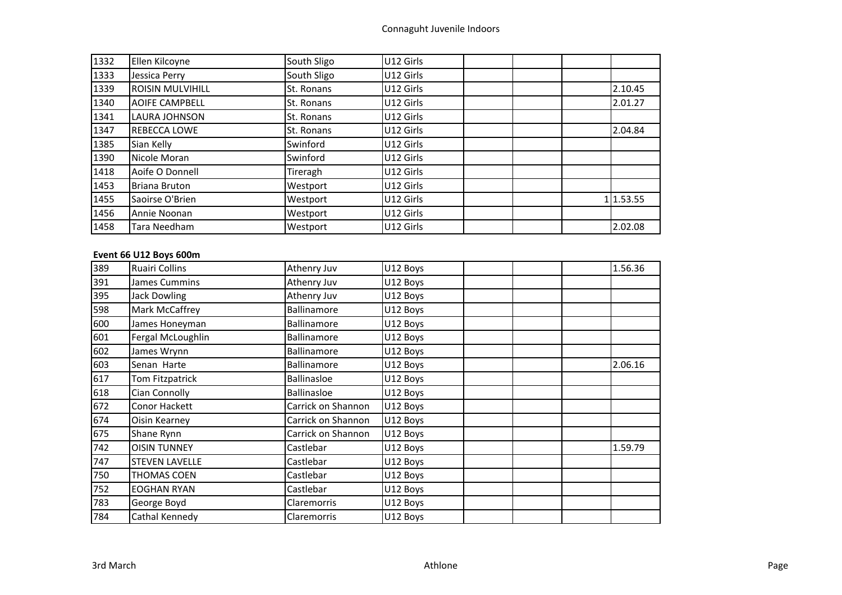| 1332 | Ellen Kilcoyne          | South Sligo | U12 Girls |  |           |
|------|-------------------------|-------------|-----------|--|-----------|
| 1333 | Jessica Perry           | South Sligo | U12 Girls |  |           |
| 1339 | <b>ROISIN MULVIHILL</b> | St. Ronans  | U12 Girls |  | 2.10.45   |
| 1340 | <b>AOIFE CAMPBELL</b>   | St. Ronans  | U12 Girls |  | 2.01.27   |
| 1341 | LAURA JOHNSON           | St. Ronans  | U12 Girls |  |           |
| 1347 | <b>REBECCA LOWE</b>     | St. Ronans  | U12 Girls |  | 2.04.84   |
| 1385 | Sian Kelly              | Swinford    | U12 Girls |  |           |
| 1390 | Nicole Moran            | Swinford    | U12 Girls |  |           |
| 1418 | Aoife O Donnell         | Tireragh    | U12 Girls |  |           |
| 1453 | Briana Bruton           | Westport    | U12 Girls |  |           |
| 1455 | Saoirse O'Brien         | Westport    | U12 Girls |  | 1 1.53.55 |
| 1456 | Annie Noonan            | Westport    | U12 Girls |  |           |
| 1458 | Tara Needham            | Westport    | U12 Girls |  | 2.02.08   |

# **Event 66 U12 Boys 600m**

| 389 | <b>Ruairi Collins</b> | Athenry Juv        | U12 Boys | 1.56.36 |
|-----|-----------------------|--------------------|----------|---------|
| 391 | <b>James Cummins</b>  | Athenry Juv        | U12 Boys |         |
| 395 | <b>Jack Dowling</b>   | Athenry Juv        | U12 Boys |         |
| 598 | Mark McCaffrey        | Ballinamore        | U12 Boys |         |
| 600 | James Honeyman        | Ballinamore        | U12 Boys |         |
| 601 | Fergal McLoughlin     | Ballinamore        | U12 Boys |         |
| 602 | James Wrynn           | Ballinamore        | U12 Boys |         |
| 603 | Senan Harte           | Ballinamore        | U12 Boys | 2.06.16 |
| 617 | Tom Fitzpatrick       | <b>Ballinasloe</b> | U12 Boys |         |
| 618 | Cian Connolly         | Ballinasloe        | U12 Boys |         |
| 672 | Conor Hackett         | Carrick on Shannon | U12 Boys |         |
| 674 | Oisin Kearney         | Carrick on Shannon | U12 Boys |         |
| 675 | Shane Rynn            | Carrick on Shannon | U12 Boys |         |
| 742 | <b>OISIN TUNNEY</b>   | Castlebar          | U12 Boys | 1.59.79 |
| 747 | <b>STEVEN LAVELLE</b> | Castlebar          | U12 Boys |         |
| 750 | THOMAS COEN           | Castlebar          | U12 Boys |         |
| 752 | <b>EOGHAN RYAN</b>    | Castlebar          | U12 Boys |         |
| 783 | George Boyd           | Claremorris        | U12 Boys |         |
| 784 | Cathal Kennedy        | Claremorris        | U12 Boys |         |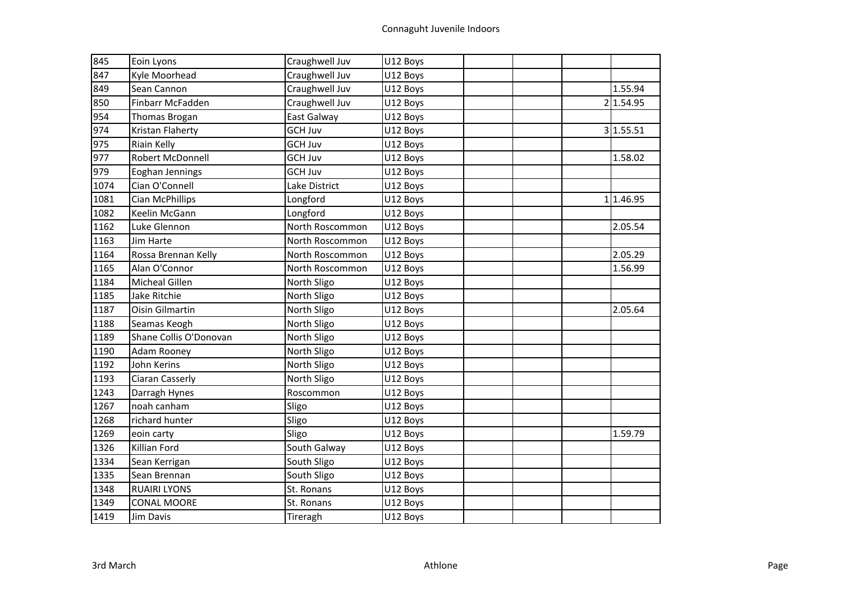| 845  | Eoin Lyons             | Craughwell Juv  | U12 Boys |  |           |
|------|------------------------|-----------------|----------|--|-----------|
| 847  | Kyle Moorhead          | Craughwell Juv  | U12 Boys |  |           |
| 849  | Sean Cannon            | Craughwell Juv  | U12 Boys |  | 1.55.94   |
| 850  | Finbarr McFadden       | Craughwell Juv  | U12 Boys |  | 2 1.54.95 |
| 954  | Thomas Brogan          | East Galway     | U12 Boys |  |           |
| 974  | Kristan Flaherty       | <b>GCH Juv</b>  | U12 Boys |  | 3 1.55.51 |
| 975  | Riain Kelly            | <b>GCH Juv</b>  | U12 Boys |  |           |
| 977  | Robert McDonnell       | <b>GCH Juv</b>  | U12 Boys |  | 1.58.02   |
| 979  | Eoghan Jennings        | <b>GCH Juv</b>  | U12 Boys |  |           |
| 1074 | Cian O'Connell         | Lake District   | U12 Boys |  |           |
| 1081 | Cian McPhillips        | Longford        | U12 Boys |  | 11.46.95  |
| 1082 | Keelin McGann          | Longford        | U12 Boys |  |           |
| 1162 | Luke Glennon           | North Roscommon | U12 Boys |  | 2.05.54   |
| 1163 | Jim Harte              | North Roscommon | U12 Boys |  |           |
| 1164 | Rossa Brennan Kelly    | North Roscommon | U12 Boys |  | 2.05.29   |
| 1165 | Alan O'Connor          | North Roscommon | U12 Boys |  | 1.56.99   |
| 1184 | Micheal Gillen         | North Sligo     | U12 Boys |  |           |
| 1185 | Jake Ritchie           | North Sligo     | U12 Boys |  |           |
| 1187 | Oisin Gilmartin        | North Sligo     | U12 Boys |  | 2.05.64   |
| 1188 | Seamas Keogh           | North Sligo     | U12 Boys |  |           |
| 1189 | Shane Collis O'Donovan | North Sligo     | U12 Boys |  |           |
| 1190 | Adam Rooney            | North Sligo     | U12 Boys |  |           |
| 1192 | John Kerins            | North Sligo     | U12 Boys |  |           |
| 1193 | Ciaran Casserly        | North Sligo     | U12 Boys |  |           |
| 1243 | Darragh Hynes          | Roscommon       | U12 Boys |  |           |
| 1267 | noah canham            | Sligo           | U12 Boys |  |           |
| 1268 | richard hunter         | Sligo           | U12 Boys |  |           |
| 1269 | eoin carty             | Sligo           | U12 Boys |  | 1.59.79   |
| 1326 | Killian Ford           | South Galway    | U12 Boys |  |           |
| 1334 | Sean Kerrigan          | South Sligo     | U12 Boys |  |           |
| 1335 | Sean Brennan           | South Sligo     | U12 Boys |  |           |
| 1348 | <b>RUAIRI LYONS</b>    | St. Ronans      | U12 Boys |  |           |
| 1349 | <b>CONAL MOORE</b>     | St. Ronans      | U12 Boys |  |           |
| 1419 | Jim Davis              | Tireragh        | U12 Boys |  |           |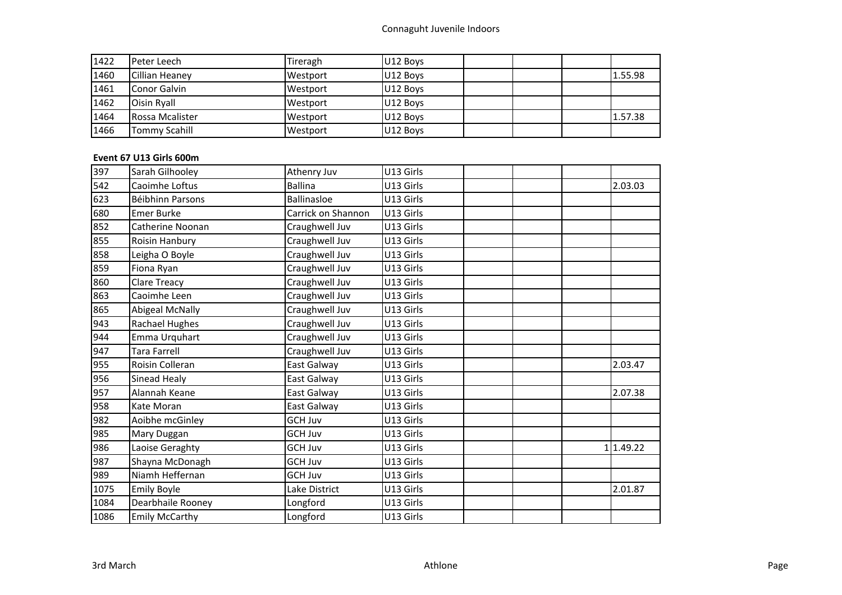| 1422 | lPeter Leech           | Tireragh | U12 Boys |  |         |
|------|------------------------|----------|----------|--|---------|
| 1460 | Cillian Heaney         | Westport | U12 Boys |  | 1.55.98 |
| 1461 | <b>Conor Galvin</b>    | Westport | U12 Boys |  |         |
| 1462 | <b>Oisin Ryall</b>     | Westport | U12 Boys |  |         |
| 1464 | <b>Rossa Mcalister</b> | Westport | U12 Boys |  | 1.57.38 |
| 1466 | <b>Tommy Scahill</b>   | Westport | U12 Boys |  |         |

# **Event 67 U13 Girls 600m**

| 397  | Sarah Gilhooley       | Athenry Juv        | U13 Girls |  |          |
|------|-----------------------|--------------------|-----------|--|----------|
| 542  | Caoimhe Loftus        | <b>Ballina</b>     | U13 Girls |  | 2.03.03  |
| 623  | Béibhinn Parsons      | <b>Ballinasloe</b> | U13 Girls |  |          |
| 680  | <b>Emer Burke</b>     | Carrick on Shannon | U13 Girls |  |          |
| 852  | Catherine Noonan      | Craughwell Juv     | U13 Girls |  |          |
| 855  | Roisin Hanbury        | Craughwell Juv     | U13 Girls |  |          |
| 858  | Leigha O Boyle        | Craughwell Juv     | U13 Girls |  |          |
| 859  | Fiona Ryan            | Craughwell Juv     | U13 Girls |  |          |
| 860  | Clare Treacy          | Craughwell Juv     | U13 Girls |  |          |
| 863  | Caoimhe Leen          | Craughwell Juv     | U13 Girls |  |          |
| 865  | Abigeal McNally       | Craughwell Juv     | U13 Girls |  |          |
| 943  | Rachael Hughes        | Craughwell Juv     | U13 Girls |  |          |
| 944  | Emma Urquhart         | Craughwell Juv     | U13 Girls |  |          |
| 947  | <b>Tara Farrell</b>   | Craughwell Juv     | U13 Girls |  |          |
| 955  | Roisin Colleran       | East Galway        | U13 Girls |  | 2.03.47  |
| 956  | Sinead Healy          | East Galway        | U13 Girls |  |          |
| 957  | Alannah Keane         | East Galway        | U13 Girls |  | 2.07.38  |
| 958  | Kate Moran            | East Galway        | U13 Girls |  |          |
| 982  | Aoibhe mcGinley       | <b>GCH Juv</b>     | U13 Girls |  |          |
| 985  | Mary Duggan           | <b>GCH Juv</b>     | U13 Girls |  |          |
| 986  | Laoise Geraghty       | <b>GCH Juv</b>     | U13 Girls |  | 11.49.22 |
| 987  | Shayna McDonagh       | <b>GCH Juv</b>     | U13 Girls |  |          |
| 989  | Niamh Heffernan       | <b>GCH Juv</b>     | U13 Girls |  |          |
| 1075 | <b>Emily Boyle</b>    | Lake District      | U13 Girls |  | 2.01.87  |
| 1084 | Dearbhaile Rooney     | Longford           | U13 Girls |  |          |
| 1086 | <b>Emily McCarthy</b> | Longford           | U13 Girls |  |          |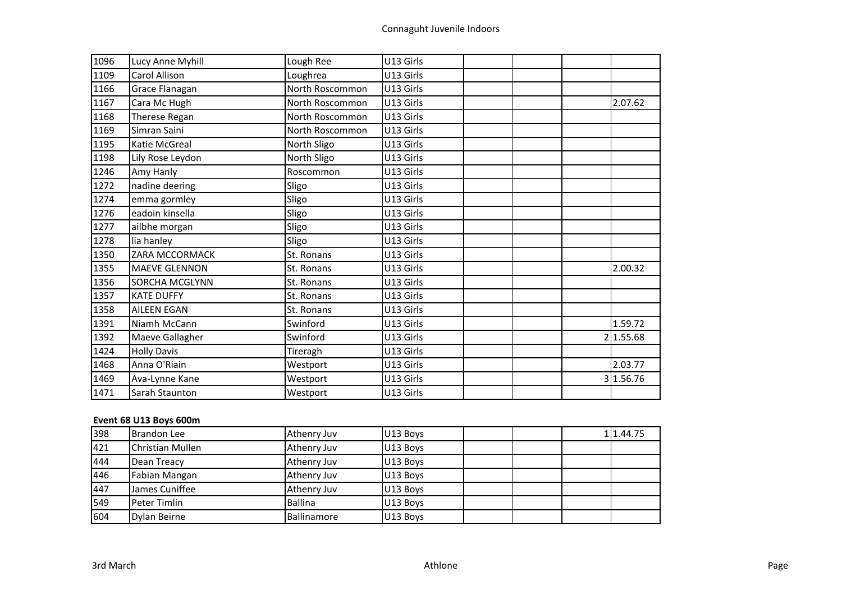| 1096 | Lucy Anne Myhill      | Lough Ree       | U13 Girls |  |           |
|------|-----------------------|-----------------|-----------|--|-----------|
| 1109 | Carol Allison         | Loughrea        | U13 Girls |  |           |
| 1166 | Grace Flanagan        | North Roscommon | U13 Girls |  |           |
| 1167 | Cara Mc Hugh          | North Roscommon | U13 Girls |  | 2.07.62   |
| 1168 | Therese Regan         | North Roscommon | U13 Girls |  |           |
| 1169 | Simran Saini          | North Roscommon | U13 Girls |  |           |
| 1195 | Katie McGreal         | North Sligo     | U13 Girls |  |           |
| 1198 | Lily Rose Leydon      | North Sligo     | U13 Girls |  |           |
| 1246 | Amy Hanly             | Roscommon       | U13 Girls |  |           |
| 1272 | nadine deering        | Sligo           | U13 Girls |  |           |
| 1274 | emma gormley          | Sligo           | U13 Girls |  |           |
| 1276 | eadoin kinsella       | Sligo           | U13 Girls |  |           |
| 1277 | ailbhe morgan         | Sligo           | U13 Girls |  |           |
| 1278 | lia hanley            | Sligo           | U13 Girls |  |           |
| 1350 | <b>ZARA MCCORMACK</b> | St. Ronans      | U13 Girls |  |           |
| 1355 | <b>MAEVE GLENNON</b>  | St. Ronans      | U13 Girls |  | 2.00.32   |
| 1356 | SORCHA MCGLYNN        | St. Ronans      | U13 Girls |  |           |
| 1357 | <b>KATE DUFFY</b>     | St. Ronans      | U13 Girls |  |           |
| 1358 | <b>AILEEN EGAN</b>    | St. Ronans      | U13 Girls |  |           |
| 1391 | Niamh McCann          | Swinford        | U13 Girls |  | 1.59.72   |
| 1392 | Maeve Gallagher       | Swinford        | U13 Girls |  | 2 1.55.68 |
| 1424 | <b>Holly Davis</b>    | Tireragh        | U13 Girls |  |           |
| 1468 | Anna O'Riain          | Westport        | U13 Girls |  | 2.03.77   |
| 1469 | Ava-Lynne Kane        | Westport        | U13 Girls |  | 3 1.56.76 |
| 1471 | Sarah Staunton        | Westport        | U13 Girls |  |           |

# **Event 68 U13 Boys 600m**

| 398 | Brandon Lee      | Athenry Juv    | U13 Boys |  | 11.44.75 |
|-----|------------------|----------------|----------|--|----------|
| 421 | Christian Mullen | Athenry Juv    | U13 Boys |  |          |
| 444 | Dean Treacy      | Athenry Juv    | U13 Boys |  |          |
| 446 | Fabian Mangan    | Athenry Juv    | U13 Boys |  |          |
| 447 | James Cuniffee   | Athenry Juv    | U13 Boys |  |          |
| 549 | Peter Timlin     | <b>Ballina</b> | U13 Boys |  |          |
| 604 | Dylan Beirne     | Ballinamore    | U13 Boys |  |          |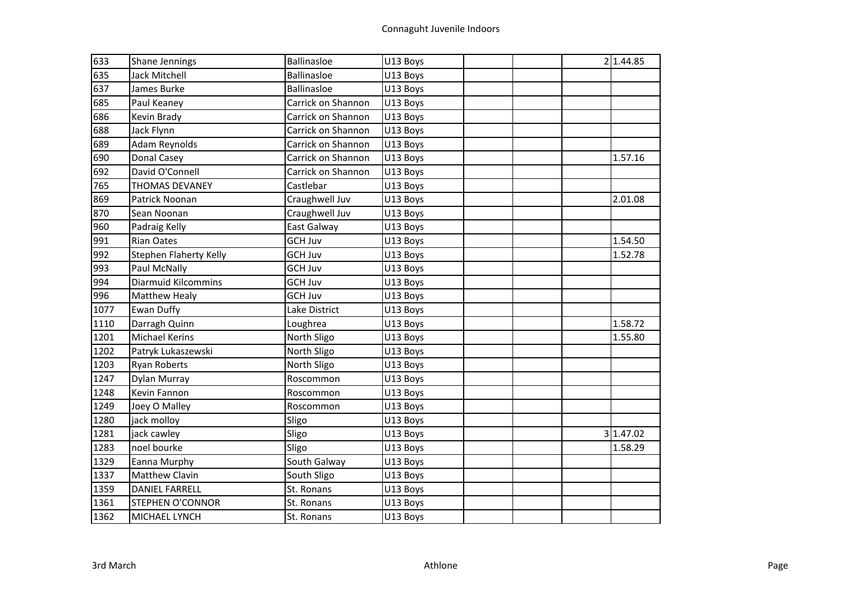| 633  | <b>Shane Jennings</b>         | Ballinasloe        | U13 Boys |  | 2 1.44.85 |
|------|-------------------------------|--------------------|----------|--|-----------|
| 635  | Jack Mitchell                 | Ballinasloe        | U13 Boys |  |           |
| 637  | James Burke                   | <b>Ballinasloe</b> | U13 Boys |  |           |
| 685  | Paul Keaney                   | Carrick on Shannon | U13 Boys |  |           |
| 686  | Kevin Brady                   | Carrick on Shannon | U13 Boys |  |           |
| 688  | Jack Flynn                    | Carrick on Shannon | U13 Boys |  |           |
| 689  | Adam Reynolds                 | Carrick on Shannon | U13 Boys |  |           |
| 690  | Donal Casey                   | Carrick on Shannon | U13 Boys |  | 1.57.16   |
| 692  | David O'Connell               | Carrick on Shannon | U13 Boys |  |           |
| 765  | <b>THOMAS DEVANEY</b>         | Castlebar          | U13 Boys |  |           |
| 869  | Patrick Noonan                | Craughwell Juv     | U13 Boys |  | 2.01.08   |
| 870  | Sean Noonan                   | Craughwell Juv     | U13 Boys |  |           |
| 960  | Padraig Kelly                 | East Galway        | U13 Boys |  |           |
| 991  | <b>Rian Oates</b>             | <b>GCH Juv</b>     | U13 Boys |  | 1.54.50   |
| 992  | <b>Stephen Flaherty Kelly</b> | <b>GCH Juv</b>     | U13 Boys |  | 1.52.78   |
| 993  | Paul McNally                  | <b>GCH Juv</b>     | U13 Boys |  |           |
| 994  | <b>Diarmuid Kilcommins</b>    | <b>GCH Juv</b>     | U13 Boys |  |           |
| 996  | <b>Matthew Healy</b>          | <b>GCH Juv</b>     | U13 Boys |  |           |
| 1077 | Ewan Duffy                    | Lake District      | U13 Boys |  |           |
| 1110 | Darragh Quinn                 | Loughrea           | U13 Boys |  | 1.58.72   |
| 1201 | <b>Michael Kerins</b>         | North Sligo        | U13 Boys |  | 1.55.80   |
| 1202 | Patryk Lukaszewski            | North Sligo        | U13 Boys |  |           |
| 1203 | <b>Ryan Roberts</b>           | North Sligo        | U13 Boys |  |           |
| 1247 | Dylan Murray                  | Roscommon          | U13 Boys |  |           |
| 1248 | Kevin Fannon                  | Roscommon          | U13 Boys |  |           |
| 1249 | Joey O Malley                 | Roscommon          | U13 Boys |  |           |
| 1280 | jack molloy                   | Sligo              | U13 Boys |  |           |
| 1281 | jack cawley                   | Sligo              | U13 Boys |  | 3 1.47.02 |
| 1283 | noel bourke                   | Sligo              | U13 Boys |  | 1.58.29   |
| 1329 | Eanna Murphy                  | South Galway       | U13 Boys |  |           |
| 1337 | <b>Matthew Clavin</b>         | South Sligo        | U13 Boys |  |           |
| 1359 | <b>DANIEL FARRELL</b>         | St. Ronans         | U13 Boys |  |           |
| 1361 | <b>STEPHEN O'CONNOR</b>       | St. Ronans         | U13 Boys |  |           |
| 1362 | MICHAEL LYNCH                 | St. Ronans         | U13 Boys |  |           |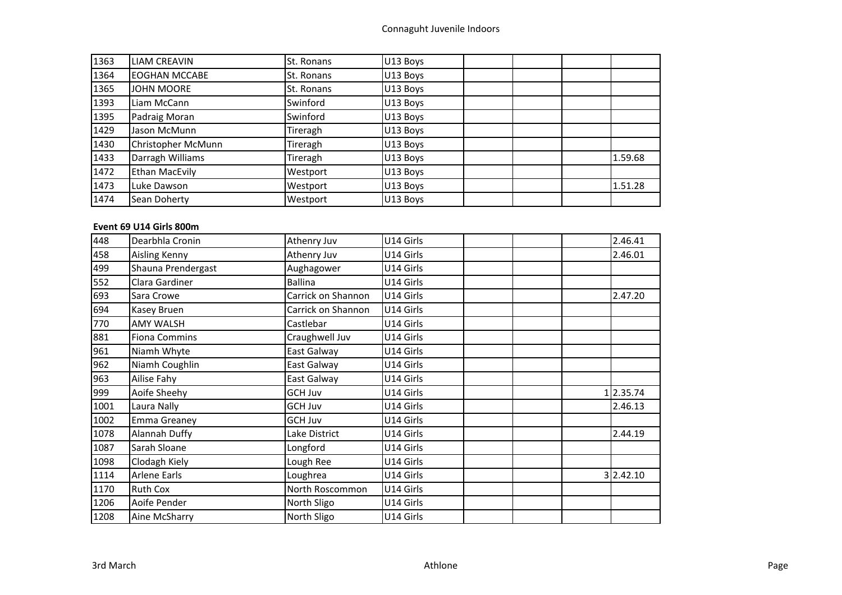| 1363 | <b>LIAM CREAVIN</b>   | St. Ronans | U13 Boys |  |         |
|------|-----------------------|------------|----------|--|---------|
| 1364 | <b>EOGHAN MCCABE</b>  | St. Ronans | U13 Boys |  |         |
| 1365 | <b>JOHN MOORE</b>     | St. Ronans | U13 Boys |  |         |
| 1393 | Liam McCann           | Swinford   | U13 Boys |  |         |
| 1395 | Padraig Moran         | Swinford   | U13 Boys |  |         |
| 1429 | Jason McMunn          | Tireragh   | U13 Boys |  |         |
| 1430 | Christopher McMunn    | Tireragh   | U13 Boys |  |         |
| 1433 | Darragh Williams      | Tireragh   | U13 Boys |  | 1.59.68 |
| 1472 | <b>Ethan MacEvily</b> | Westport   | U13 Boys |  |         |
| 1473 | Luke Dawson           | Westport   | U13 Boys |  | 1.51.28 |
| 1474 | Sean Doherty          | Westport   | U13 Boys |  |         |

# **Event 69 U14 Girls 800m**

| 448  | Dearbhla Cronin      | Athenry Juv        | U14 Girls | 2.46.41   |
|------|----------------------|--------------------|-----------|-----------|
| 458  | <b>Aisling Kenny</b> | Athenry Juv        | U14 Girls | 2.46.01   |
| 499  | Shauna Prendergast   | Aughagower         | U14 Girls |           |
| 552  | Clara Gardiner       | Ballina            | U14 Girls |           |
| 693  | Sara Crowe           | Carrick on Shannon | U14 Girls | 2.47.20   |
| 694  | Kasey Bruen          | Carrick on Shannon | U14 Girls |           |
| 770  | <b>AMY WALSH</b>     | Castlebar          | U14 Girls |           |
| 881  | <b>Fiona Commins</b> | Craughwell Juv     | U14 Girls |           |
| 961  | Niamh Whyte          | East Galway        | U14 Girls |           |
| 962  | Niamh Coughlin       | East Galway        | U14 Girls |           |
| 963  | Ailise Fahy          | East Galway        | U14 Girls |           |
| 999  | Aoife Sheehy         | <b>GCH Juv</b>     | U14 Girls | 12.35.74  |
| 1001 | Laura Nally          | <b>GCH Juv</b>     | U14 Girls | 2.46.13   |
| 1002 | <b>Emma Greaney</b>  | GCH Juv            | U14 Girls |           |
| 1078 | Alannah Duffy        | Lake District      | U14 Girls | 2.44.19   |
| 1087 | Sarah Sloane         | Longford           | U14 Girls |           |
| 1098 | Clodagh Kiely        | Lough Ree          | U14 Girls |           |
| 1114 | <b>Arlene Earls</b>  | Loughrea           | U14 Girls | 3 2.42.10 |
| 1170 | <b>Ruth Cox</b>      | North Roscommon    | U14 Girls |           |
| 1206 | Aoife Pender         | North Sligo        | U14 Girls |           |
| 1208 | Aine McSharry        | North Sligo        | U14 Girls |           |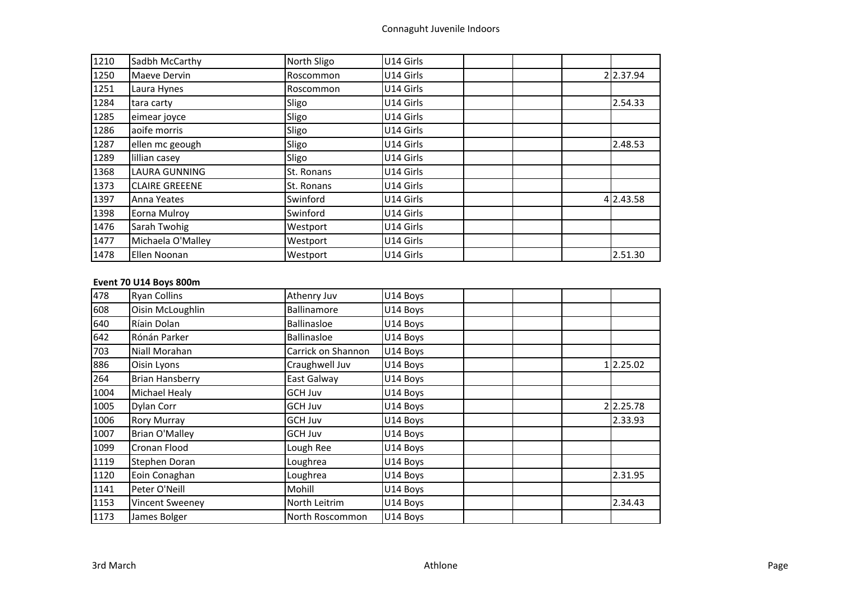| 1210 | Sadbh McCarthy        | North Sligo | U14 Girls |  |           |
|------|-----------------------|-------------|-----------|--|-----------|
| 1250 | Maeve Dervin          | Roscommon   | U14 Girls |  | 2 2.37.94 |
| 1251 | Laura Hynes           | Roscommon   | U14 Girls |  |           |
| 1284 | tara carty            | Sligo       | U14 Girls |  | 2.54.33   |
| 1285 | eimear joyce          | Sligo       | U14 Girls |  |           |
| 1286 | aoife morris          | Sligo       | U14 Girls |  |           |
| 1287 | ellen mc geough       | Sligo       | U14 Girls |  | 2.48.53   |
| 1289 | lillian casey         | Sligo       | U14 Girls |  |           |
| 1368 | <b>LAURA GUNNING</b>  | St. Ronans  | U14 Girls |  |           |
| 1373 | <b>CLAIRE GREEENE</b> | St. Ronans  | U14 Girls |  |           |
| 1397 | Anna Yeates           | Swinford    | U14 Girls |  | 4 2.43.58 |
| 1398 | Eorna Mulroy          | Swinford    | U14 Girls |  |           |
| 1476 | Sarah Twohig          | Westport    | U14 Girls |  |           |
| 1477 | Michaela O'Malley     | Westport    | U14 Girls |  |           |
| 1478 | Ellen Noonan          | Westport    | U14 Girls |  | 2.51.30   |

# **Event 70 U14 Boys 800m**

| 478  | <b>Ryan Collins</b>    | Athenry Juv        | U14 Boys |  |          |
|------|------------------------|--------------------|----------|--|----------|
| 608  | Oisin McLoughlin       | Ballinamore        | U14 Boys |  |          |
| 640  | Ríain Dolan            | <b>Ballinasloe</b> | U14 Boys |  |          |
| 642  | Rónán Parker           | <b>Ballinasloe</b> | U14 Boys |  |          |
| 703  | Niall Morahan          | Carrick on Shannon | U14 Boys |  |          |
| 886  | Oisin Lyons            | Craughwell Juv     | U14 Boys |  | 12.25.02 |
| 264  | <b>Brian Hansberry</b> | East Galway        | U14 Boys |  |          |
| 1004 | Michael Healy          | <b>GCH Juv</b>     | U14 Boys |  |          |
| 1005 | Dylan Corr             | GCH Juv            | U14 Boys |  | 22.25.78 |
| 1006 | <b>Rory Murray</b>     | GCH Juv            | U14 Boys |  | 2.33.93  |
| 1007 | <b>Brian O'Malley</b>  | GCH Juv            | U14 Boys |  |          |
| 1099 | Cronan Flood           | Lough Ree          | U14 Boys |  |          |
| 1119 | Stephen Doran          | Loughrea           | U14 Boys |  |          |
| 1120 | Eoin Conaghan          | Loughrea           | U14 Boys |  | 2.31.95  |
| 1141 | Peter O'Neill          | Mohill             | U14 Boys |  |          |
| 1153 | Vincent Sweeney        | North Leitrim      | U14 Boys |  | 2.34.43  |
| 1173 | James Bolger           | North Roscommon    | U14 Boys |  |          |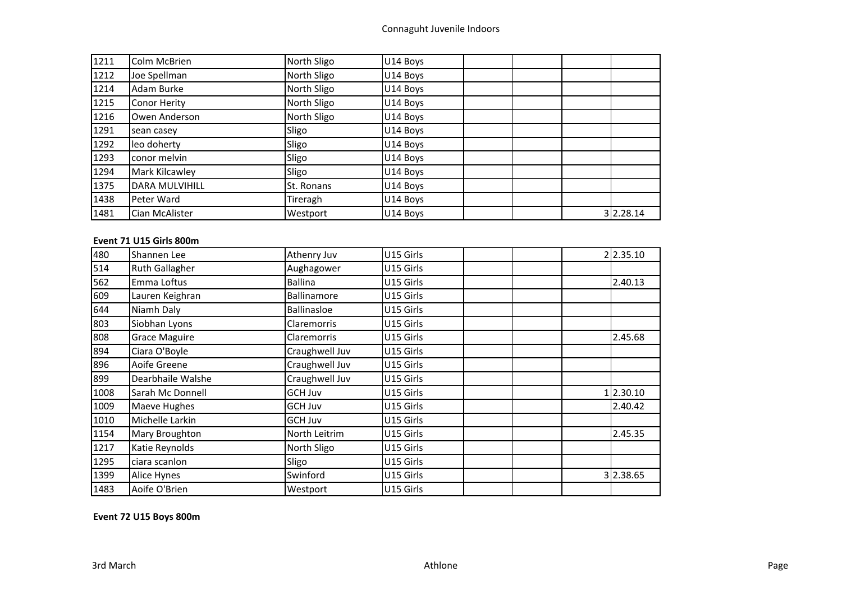| 1211 | Colm McBrien          | North Sligo | U14 Boys |           |
|------|-----------------------|-------------|----------|-----------|
| 1212 | Joe Spellman          | North Sligo | U14 Boys |           |
| 1214 | Adam Burke            | North Sligo | U14 Boys |           |
| 1215 | <b>Conor Herity</b>   | North Sligo | U14 Boys |           |
| 1216 | Owen Anderson         | North Sligo | U14 Boys |           |
| 1291 | sean casey            | Sligo       | U14 Boys |           |
| 1292 | leo doherty           | Sligo       | U14 Boys |           |
| 1293 | conor melvin          | Sligo       | U14 Boys |           |
| 1294 | Mark Kilcawley        | Sligo       | U14 Boys |           |
| 1375 | <b>DARA MULVIHILL</b> | St. Ronans  | U14 Boys |           |
| 1438 | Peter Ward            | Tireragh    | U14 Boys |           |
| 1481 | Cian McAlister        | Westport    | U14 Boys | 3 2.28.14 |

# **Event 71 U15 Girls 800m**

| 480  | Shannen Lee           | Athenry Juv    | U15 Girls | 2 2.35.10 |
|------|-----------------------|----------------|-----------|-----------|
| 514  | <b>Ruth Gallagher</b> | Aughagower     | U15 Girls |           |
| 562  | Emma Loftus           | <b>Ballina</b> | U15 Girls | 2.40.13   |
| 609  | Lauren Keighran       | Ballinamore    | U15 Girls |           |
| 644  | Niamh Daly            | Ballinasloe    | U15 Girls |           |
| 803  | Siobhan Lyons         | Claremorris    | U15 Girls |           |
| 808  | <b>Grace Maguire</b>  | Claremorris    | U15 Girls | 2.45.68   |
| 894  | Ciara O'Boyle         | Craughwell Juv | U15 Girls |           |
| 896  | Aoife Greene          | Craughwell Juv | U15 Girls |           |
| 899  | Dearbhaile Walshe     | Craughwell Juv | U15 Girls |           |
| 1008 | Sarah Mc Donnell      | GCH Juv        | U15 Girls | 1 2.30.10 |
| 1009 | Maeve Hughes          | GCH Juv        | U15 Girls | 2.40.42   |
| 1010 | Michelle Larkin       | GCH Juv        | U15 Girls |           |
| 1154 | Mary Broughton        | North Leitrim  | U15 Girls | 2.45.35   |
| 1217 | Katie Reynolds        | North Sligo    | U15 Girls |           |
| 1295 | ciara scanlon         | Sligo          | U15 Girls |           |
| 1399 | Alice Hynes           | Swinford       | U15 Girls | 3 2.38.65 |
| 1483 | Aoife O'Brien         | Westport       | U15 Girls |           |

**Event 72 U15 Boys 800m**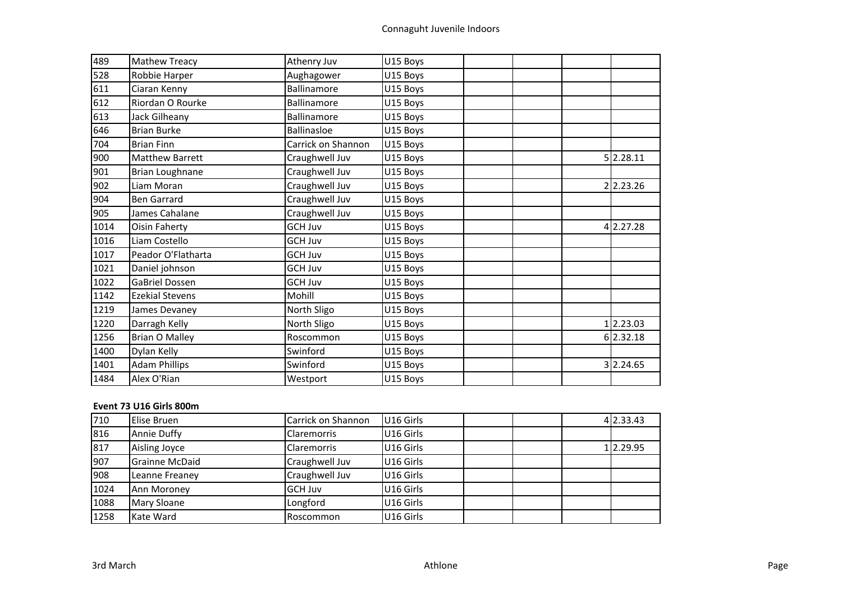| 489  | <b>Mathew Treacy</b>   | Athenry Juv        | U15 Boys |  |           |
|------|------------------------|--------------------|----------|--|-----------|
| 528  | Robbie Harper          | Aughagower         | U15 Boys |  |           |
| 611  | Ciaran Kenny           | Ballinamore        | U15 Boys |  |           |
| 612  | Riordan O Rourke       | <b>Ballinamore</b> | U15 Boys |  |           |
| 613  | Jack Gilheany          | Ballinamore        | U15 Boys |  |           |
| 646  | <b>Brian Burke</b>     | <b>Ballinasloe</b> | U15 Boys |  |           |
| 704  | <b>Brian Finn</b>      | Carrick on Shannon | U15 Boys |  |           |
| 900  | <b>Matthew Barrett</b> | Craughwell Juv     | U15 Boys |  | 5 2.28.11 |
| 901  | <b>Brian Loughnane</b> | Craughwell Juv     | U15 Boys |  |           |
| 902  | Liam Moran             | Craughwell Juv     | U15 Boys |  | 22.23.26  |
| 904  | <b>Ben Garrard</b>     | Craughwell Juv     | U15 Boys |  |           |
| 905  | James Cahalane         | Craughwell Juv     | U15 Boys |  |           |
| 1014 | Oisin Faherty          | <b>GCH Juv</b>     | U15 Boys |  | 4 2.27.28 |
| 1016 | Liam Costello          | <b>GCH Juv</b>     | U15 Boys |  |           |
| 1017 | Peador O'Flatharta     | <b>GCH Juv</b>     | U15 Boys |  |           |
| 1021 | Daniel johnson         | <b>GCH Juv</b>     | U15 Boys |  |           |
| 1022 | <b>GaBriel Dossen</b>  | <b>GCH Juv</b>     | U15 Boys |  |           |
| 1142 | <b>Ezekial Stevens</b> | Mohill             | U15 Boys |  |           |
| 1219 | James Devaney          | North Sligo        | U15 Boys |  |           |
| 1220 | Darragh Kelly          | North Sligo        | U15 Boys |  | 1 2.23.03 |
| 1256 | <b>Brian O Malley</b>  | Roscommon          | U15 Boys |  | 6 2.32.18 |
| 1400 | Dylan Kelly            | Swinford           | U15 Boys |  |           |
| 1401 | <b>Adam Phillips</b>   | Swinford           | U15 Boys |  | 3 2.24.65 |
| 1484 | Alex O'Rian            | Westport           | U15 Boys |  |           |

# **Event 73 U16 Girls 800m**

| 710  | Elise Bruen           | Carrick on Shannon | U16 Girls |  | 4 2.33.43 |
|------|-----------------------|--------------------|-----------|--|-----------|
| 816  | <b>Annie Duffy</b>    | <b>Claremorris</b> | U16 Girls |  |           |
| 817  | Aisling Joyce         | <b>Claremorris</b> | U16 Girls |  | 1 2.29.95 |
| 907  | <b>Grainne McDaid</b> | Craughwell Juv     | U16 Girls |  |           |
| 908  | Leanne Freaney        | Craughwell Juv     | U16 Girls |  |           |
| 1024 | Ann Moroney           | <b>GCH Juv</b>     | U16 Girls |  |           |
| 1088 | Mary Sloane           | Longford           | U16 Girls |  |           |
| 1258 | Kate Ward             | Roscommon          | U16 Girls |  |           |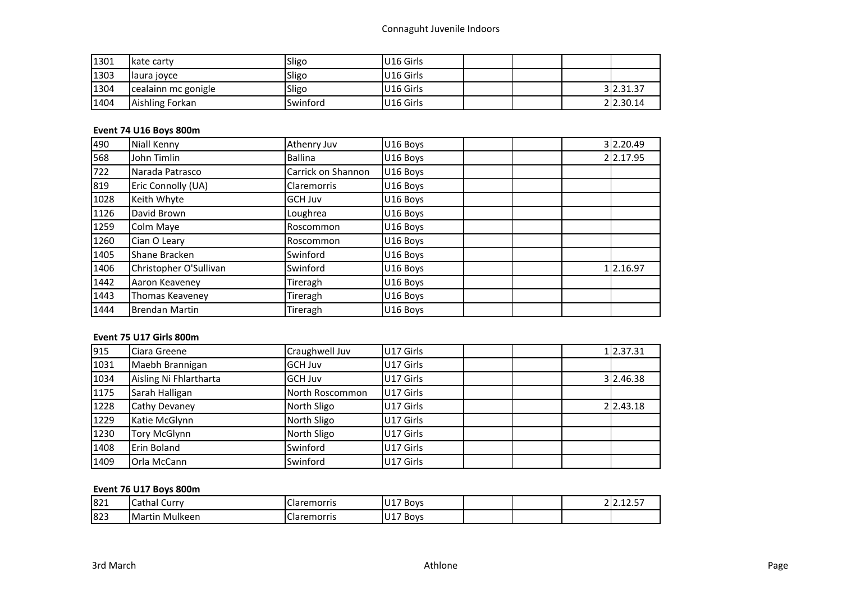| 1301 | Ikate carty         | Sligo    | U16 Girls             |  |           |
|------|---------------------|----------|-----------------------|--|-----------|
| 1303 | llaura joyce        | Sligo    | U <sub>16</sub> Girls |  |           |
| 1304 | cealainn mc gonigle | Sligo    | U16 Girls             |  | 3 2.31.37 |
| 1404 | Aishling Forkan     | Swinford | U16 Girls             |  | 2 2.30.14 |

# **Event 74 U16 Boys 800m**

| 490  | <b>Niall Kenny</b>     | Athenry Juv        | U16 Boys |  | 3 2.20.49 |
|------|------------------------|--------------------|----------|--|-----------|
| 568  | John Timlin            | <b>Ballina</b>     | U16 Boys |  | 2 2.17.95 |
| 722  | Narada Patrasco        | Carrick on Shannon | U16 Boys |  |           |
| 819  | Eric Connolly (UA)     | <b>Claremorris</b> | U16 Boys |  |           |
| 1028 | Keith Whyte            | <b>GCH Juv</b>     | U16 Boys |  |           |
| 1126 | David Brown            | Loughrea           | U16 Boys |  |           |
| 1259 | Colm Maye              | Roscommon          | U16 Boys |  |           |
| 1260 | Cian O Leary           | Roscommon          | U16 Boys |  |           |
| 1405 | Shane Bracken          | Swinford           | U16 Boys |  |           |
| 1406 | Christopher O'Sullivan | Swinford           | U16 Boys |  | 1 2.16.97 |
| 1442 | Aaron Keaveney         | Tireragh           | U16 Boys |  |           |
| 1443 | Thomas Keaveney        | Tireragh           | U16 Boys |  |           |
| 1444 | <b>Brendan Martin</b>  | Tireragh           | U16 Boys |  |           |

# **Event 75 U17 Girls 800m**

| 915  | Ciara Greene           | Craughwell Juv  | U17 Girls |  | 1 2.37.31 |
|------|------------------------|-----------------|-----------|--|-----------|
| 1031 | Maebh Brannigan        | <b>GCH Juv</b>  | U17 Girls |  |           |
| 1034 | Aisling Ni Fhlartharta | <b>GCH Juv</b>  | U17 Girls |  | 3 2.46.38 |
| 1175 | Sarah Halligan         | North Roscommon | U17 Girls |  |           |
| 1228 | Cathy Devaney          | North Sligo     | U17 Girls |  | 2 2.43.18 |
| 1229 | Katie McGlynn          | North Sligo     | U17 Girls |  |           |
| 1230 | <b>Tory McGlynn</b>    | North Sligo     | U17 Girls |  |           |
| 1408 | Erin Boland            | Swinford        | U17 Girls |  |           |
| 1409 | <b>Orla McCann</b>     | Swinford        | U17 Girls |  |           |

# **Event 76 U17 Boys 800m**

| 821 | Cathal<br>Curry    | arr-<br>remorns            | $117$ Boys         |  | $\sim$ $\sim$ $\sim$ $\sim$ |
|-----|--------------------|----------------------------|--------------------|--|-----------------------------|
| 823 | IMartir<br>Mulkeen | Llar′<br>TIOLLIS<br>$\sim$ | 147<br>Boys<br>ັບ⊥ |  |                             |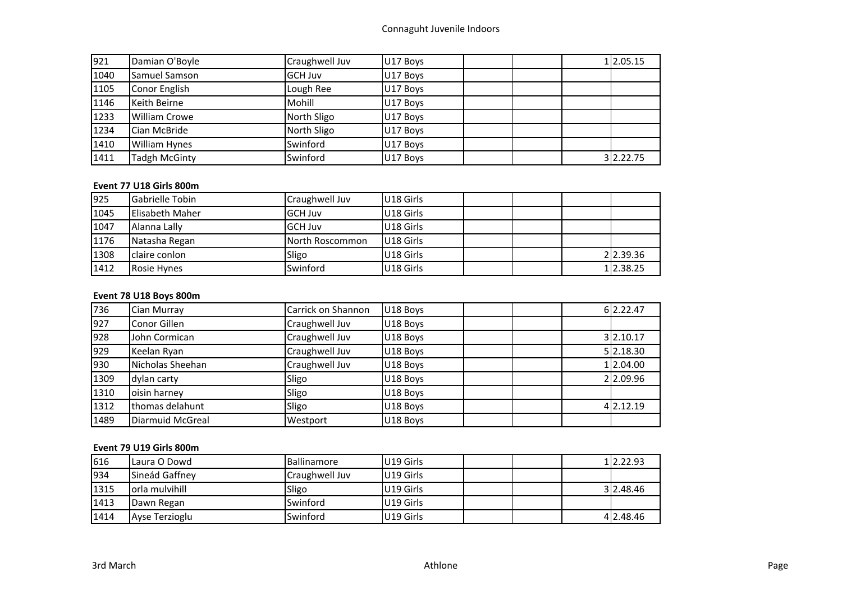| 921  | Damian O'Boyle       | Craughwell Juv | U17 Boys |  | 1 2.05.15 |
|------|----------------------|----------------|----------|--|-----------|
| 1040 | Samuel Samson        | <b>GCH Juv</b> | U17 Boys |  |           |
| 1105 | Conor English        | Lough Ree      | U17 Boys |  |           |
| 1146 | Keith Beirne         | Mohill         | U17 Boys |  |           |
| 1233 | <b>William Crowe</b> | North Sligo    | U17 Boys |  |           |
| 1234 | Cian McBride         | North Sligo    | U17 Boys |  |           |
| 1410 | <b>William Hynes</b> | Swinford       | U17 Boys |  |           |
| 1411 | <b>Tadgh McGinty</b> | Swinford       | U17 Boys |  | 3 2.22.75 |

# **Event 77 U18 Girls 800m**

| 925  | <b>Gabrielle Tobin</b> | Craughwell Juv  | U18 Girls |  |           |
|------|------------------------|-----------------|-----------|--|-----------|
| 1045 | Elisabeth Maher        | <b>GCH Juv</b>  | U18 Girls |  |           |
| 1047 | Alanna Lally           | <b>GCH Juv</b>  | U18 Girls |  |           |
| 1176 | Natasha Regan          | North Roscommon | U18 Girls |  |           |
| 1308 | claire conlon          | Sligo           | U18 Girls |  | 2 2.39.36 |
| 1412 | Rosie Hynes            | Swinford        | U18 Girls |  | 1 2.38.25 |

# **Event 78 U18 Boys 800m**

| 736  | Cian Murray      | Carrick on Shannon | U18 Boys | 6 2.22.47 |
|------|------------------|--------------------|----------|-----------|
| 927  | Conor Gillen     | Craughwell Juv     | U18 Boys |           |
| 928  | John Cormican    | Craughwell Juv     | U18 Boys | 3 2.10.17 |
| 929  | Keelan Ryan      | Craughwell Juv     | U18 Boys | 5 2.18.30 |
| 930  | Nicholas Sheehan | Craughwell Juv     | U18 Boys | 1 2.04.00 |
| 1309 | dylan carty      | Sligo              | U18 Boys | 2 2.09.96 |
| 1310 | oisin harney     | Sligo              | U18 Boys |           |
| 1312 | thomas delahunt  | Sligo              | U18 Boys | 4 2.12.19 |
| 1489 | Diarmuid McGreal | Westport           | U18 Boys |           |

# **Event 79 U19 Girls 800m**

| 616  | lLaura O Dowd   | <b>Ballinamore</b> | U19 Girls             |  | 12.22.93  |
|------|-----------------|--------------------|-----------------------|--|-----------|
| 934  | Sineád Gaffney  | Craughwell Juv     | U <sub>19</sub> Girls |  |           |
| 1315 | lorla mulvihill | Sligo              | U19 Girls             |  | 3 2.48.46 |
| 1413 | Dawn Regan      | Swinford           | U19 Girls             |  |           |
| 1414 | Ayse Terzioglu  | Swinford           | U19 Girls             |  | 4 2.48.46 |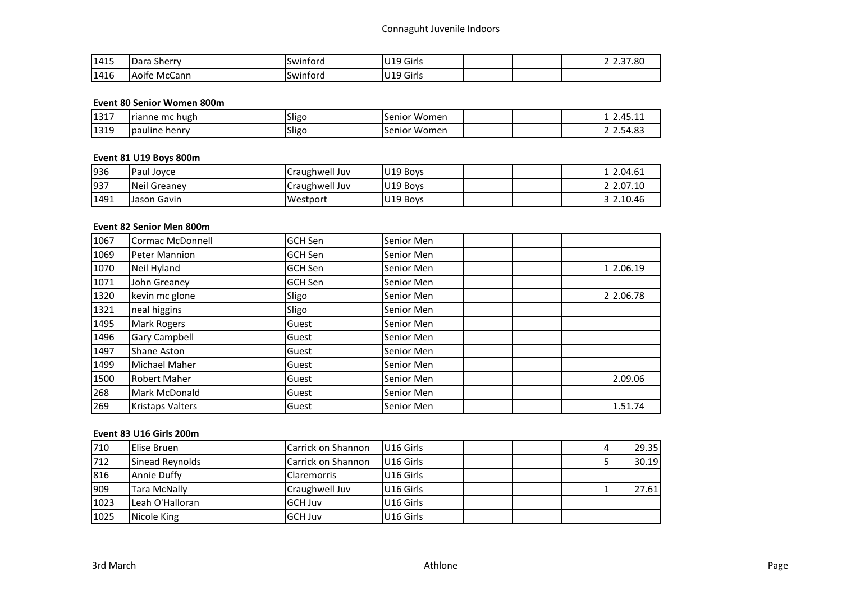| 1415 | <b>IDara</b><br>. sherrv | -<br>Swintord | ''19 Girls |  | 22.37.80 |
|------|--------------------------|---------------|------------|--|----------|
| 1416 | Aoife McCann             | Swintord      | U19 Girls  |  |          |

### **Event 80 Senior Women 800m**

| 1317 | rianne mc hugh   | .<br>ISIIgo | Women<br>Senior       | $\sim$<br>71 L<br>112.4J.11 |
|------|------------------|-------------|-----------------------|-----------------------------|
| 1319 | pauline<br>henry | .<br>ISIIgo | .<br>Women<br>.Senior | $ \sim$<br>$\sim$           |

# **Event 81 U19 Boys 800m**

| 936  | Paul Jovce   | Craughwell Juv | U19 Boys |  | 12.04.61  |
|------|--------------|----------------|----------|--|-----------|
| 937  | Neil Greanev | Craughwell Juv | U19 Bovs |  | 22.07.10  |
| 1491 | Jason Gavin  | Westport       | U19 Boys |  | 3 2.10.46 |

# **Event 82 Senior Men 800m**

| 1067 | <b>Cormac McDonnell</b> | <b>GCH Sen</b> | Senior Men |           |
|------|-------------------------|----------------|------------|-----------|
| 1069 | Peter Mannion           | <b>GCH Sen</b> | Senior Men |           |
| 1070 | Neil Hyland             | <b>GCH Sen</b> | Senior Men | 1 2.06.19 |
| 1071 | John Greaney            | <b>GCH Sen</b> | Senior Men |           |
| 1320 | kevin mc glone          | Sligo          | Senior Men | 2 2.06.78 |
| 1321 | neal higgins            | Sligo          | Senior Men |           |
| 1495 | Mark Rogers             | Guest          | Senior Men |           |
| 1496 | <b>Gary Campbell</b>    | Guest          | Senior Men |           |
| 1497 | <b>Shane Aston</b>      | Guest          | Senior Men |           |
| 1499 | Michael Maher           | Guest          | Senior Men |           |
| 1500 | <b>Robert Maher</b>     | Guest          | Senior Men | 2.09.06   |
| 268  | Mark McDonald           | Guest          | Senior Men |           |
| 269  | Kristaps Valters        | Guest          | Senior Men | 1.51.74   |

# **Event 83 U16 Girls 200m**

| 710  | Elise Bruen         | Carrick on Shannon | U <sub>16</sub> Girls |  | 29.35 |
|------|---------------------|--------------------|-----------------------|--|-------|
| 712  | Sinead Reynolds     | Carrick on Shannon | U <sub>16</sub> Girls |  | 30.19 |
| 816  | Annie Duffy         | <b>Claremorris</b> | U16 Girls             |  |       |
| 909  | <b>Tara McNally</b> | Craughwell Juv     | U16 Girls             |  | 27.61 |
| 1023 | Leah O'Halloran     | <b>GCH Juv</b>     | U16 Girls             |  |       |
| 1025 | Nicole King         | <b>GCH Juv</b>     | U16 Girls             |  |       |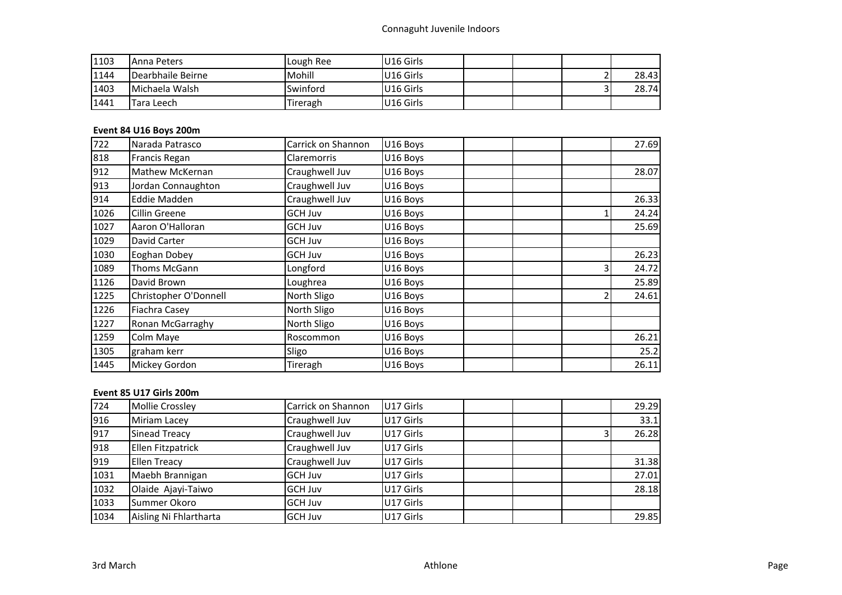# Connaguht Juvenile Indoors

| 1103 | lAnna Peters      | Lough Ree | U <sub>16</sub> Girls |  |    |       |
|------|-------------------|-----------|-----------------------|--|----|-------|
| 1144 | Dearbhaile Beirne | Mohill    | U <sub>16</sub> Girls |  |    | 28.43 |
| 1403 | Michaela Walsh    | Swinford  | U <sub>16</sub> Girls |  | -- | 28.74 |
| 1441 | Tara Leech        | Tireragh  | U <sub>16</sub> Girls |  |    |       |

# **Event 84 U16 Boys 200m**

| 722  | Narada Patrasco       | Carrick on Shannon | U16 Boys |  | 27.69 |
|------|-----------------------|--------------------|----------|--|-------|
| 818  | Francis Regan         | Claremorris        | U16 Boys |  |       |
| 912  | Mathew McKernan       | Craughwell Juv     | U16 Boys |  | 28.07 |
| 913  | Jordan Connaughton    | Craughwell Juv     | U16 Boys |  |       |
| 914  | Eddie Madden          | Craughwell Juv     | U16 Boys |  | 26.33 |
| 1026 | Cillin Greene         | GCH Juv            | U16 Boys |  | 24.24 |
| 1027 | Aaron O'Halloran      | <b>GCH Juv</b>     | U16 Boys |  | 25.69 |
| 1029 | David Carter          | GCH Juv            | U16 Boys |  |       |
| 1030 | Eoghan Dobey          | GCH Juv            | U16 Boys |  | 26.23 |
| 1089 | Thoms McGann          | Longford           | U16 Boys |  | 24.72 |
| 1126 | David Brown           | Loughrea           | U16 Boys |  | 25.89 |
| 1225 | Christopher O'Donnell | North Sligo        | U16 Boys |  | 24.61 |
| 1226 | Fiachra Casey         | North Sligo        | U16 Boys |  |       |
| 1227 | Ronan McGarraghy      | North Sligo        | U16 Boys |  |       |
| 1259 | Colm Maye             | Roscommon          | U16 Boys |  | 26.21 |
| 1305 | graham kerr           | Sligo              | U16 Boys |  | 25.2  |
| 1445 | Mickey Gordon         | Tireragh           | U16 Boys |  | 26.11 |

# **Event 85 U17 Girls 200m**

| 724  | <b>Mollie Crossley</b> | Carrick on Shannon | U17 Girls |  | 29.29 |
|------|------------------------|--------------------|-----------|--|-------|
| 916  | Miriam Lacey           | Craughwell Juv     | U17 Girls |  | 33.1  |
| 917  | Sinead Treacy          | Craughwell Juv     | U17 Girls |  | 26.28 |
| 918  | Ellen Fitzpatrick      | Craughwell Juv     | U17 Girls |  |       |
| 919  | <b>Ellen Treacy</b>    | Craughwell Juv     | U17 Girls |  | 31.38 |
| 1031 | Maebh Brannigan        | <b>GCH Juv</b>     | U17 Girls |  | 27.01 |
| 1032 | Olaide Ajayi-Taiwo     | <b>GCH Juv</b>     | U17 Girls |  | 28.18 |
| 1033 | Summer Okoro           | <b>GCH Juv</b>     | U17 Girls |  |       |
| 1034 | Aisling Ni Fhlartharta | <b>GCH Juv</b>     | U17 Girls |  | 29.85 |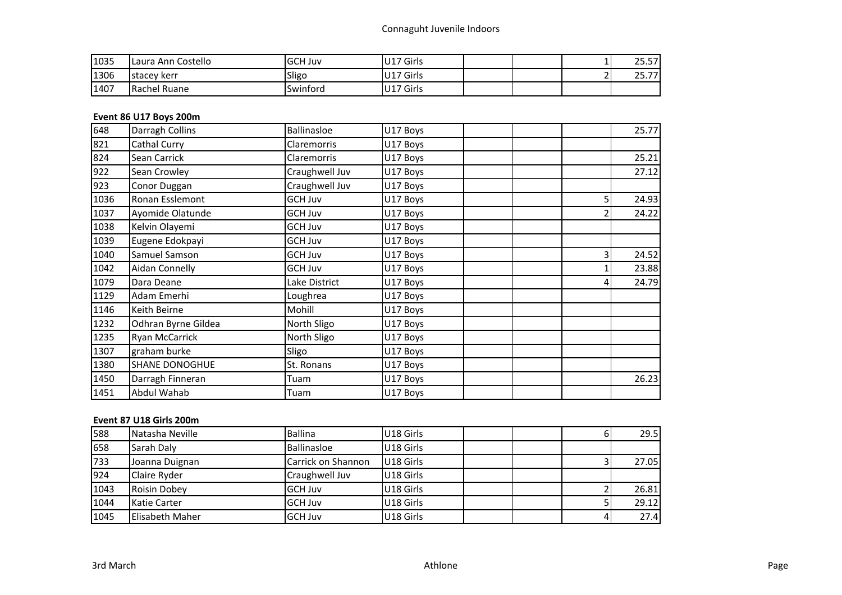| 1035 | Laura Ann Costello | <b>GCH Juv</b> | U17 Girls |  | 25.57                 |
|------|--------------------|----------------|-----------|--|-----------------------|
| 1306 | stacey kerr        | Sligo          | U17 Girls |  | $\rightarrow$<br>25.7 |
| 1407 | Rachel Ruane       | Swinford       | U17 Girls |  |                       |

# **Event 86 U17 Boys 200m**

| 648  | Darragh Collins       | <b>Ballinasloe</b> | U17 Boys |                | 25.77 |
|------|-----------------------|--------------------|----------|----------------|-------|
| 821  | Cathal Curry          | <b>Claremorris</b> | U17 Boys |                |       |
| 824  | Sean Carrick          | Claremorris        | U17 Boys |                | 25.21 |
| 922  | Sean Crowley          | Craughwell Juv     | U17 Boys |                | 27.12 |
| 923  | Conor Duggan          | Craughwell Juv     | U17 Boys |                |       |
| 1036 | Ronan Esslemont       | <b>GCH Juv</b>     | U17 Boys | 5 <sub>l</sub> | 24.93 |
| 1037 | Ayomide Olatunde      | <b>GCH Juv</b>     | U17 Boys | 2              | 24.22 |
| 1038 | Kelvin Olayemi        | <b>GCH Juv</b>     | U17 Boys |                |       |
| 1039 | Eugene Edokpayi       | <b>GCH Juv</b>     | U17 Boys |                |       |
| 1040 | Samuel Samson         | <b>GCH Juv</b>     | U17 Boys | $\overline{3}$ | 24.52 |
| 1042 | Aidan Connelly        | <b>GCH Juv</b>     | U17 Boys |                | 23.88 |
| 1079 | Dara Deane            | Lake District      | U17 Boys | 4              | 24.79 |
| 1129 | Adam Emerhi           | Loughrea           | U17 Boys |                |       |
| 1146 | Keith Beirne          | Mohill             | U17 Boys |                |       |
| 1232 | Odhran Byrne Gildea   | North Sligo        | U17 Boys |                |       |
| 1235 | <b>Ryan McCarrick</b> | North Sligo        | U17 Boys |                |       |
| 1307 | graham burke          | Sligo              | U17 Boys |                |       |
| 1380 | <b>SHANE DONOGHUE</b> | St. Ronans         | U17 Boys |                |       |
| 1450 | Darragh Finneran      | Tuam               | U17 Boys |                | 26.23 |
| 1451 | Abdul Wahab           | Tuam               | U17 Boys |                |       |

# **Event 87 U18 Girls 200m**

| 588  | Natasha Neville        | <b>Ballina</b>     | U18 Girls |  | 29.5  |
|------|------------------------|--------------------|-----------|--|-------|
| 658  | Sarah Daly             | Ballinasloe        | U18 Girls |  |       |
| 733  | Joanna Duignan         | Carrick on Shannon | U18 Girls |  | 27.05 |
| 924  | Claire Ryder           | Craughwell Juv     | U18 Girls |  |       |
| 1043 | <b>Roisin Dobey</b>    | <b>GCH Juv</b>     | U18 Girls |  | 26.81 |
| 1044 | Katie Carter           | <b>GCH Juv</b>     | U18 Girls |  | 29.12 |
| 1045 | <b>Elisabeth Maher</b> | <b>GCH Juv</b>     | U18 Girls |  | 27.4  |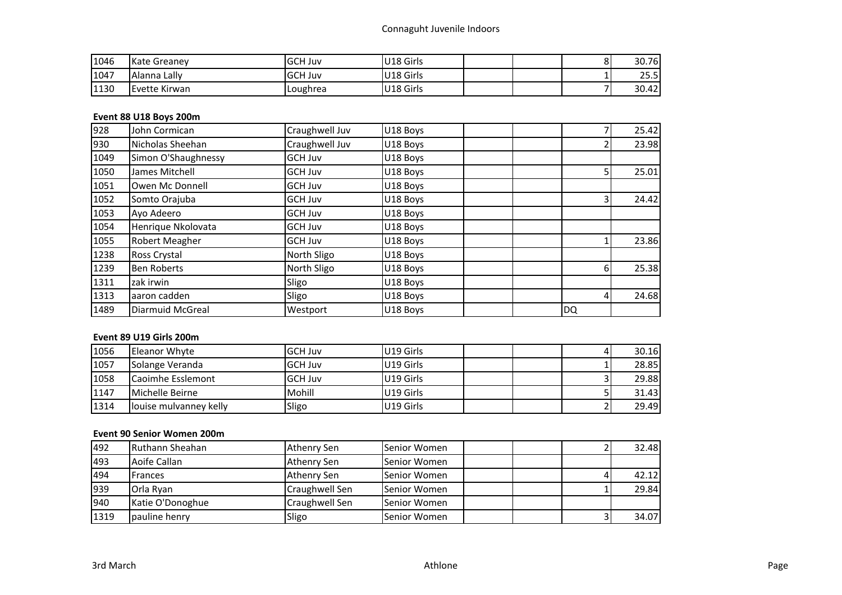| 1046 | <b>Kate Greanev</b> | <b>GCH Juv</b> | U18 Girls |  | ٥ | 30.76 |
|------|---------------------|----------------|-----------|--|---|-------|
| 1047 | Alanna Lally        | <b>GCH Juv</b> | U18 Girls |  |   | 25.5  |
| 1130 | Evette Kirwan       | Loughrea       | U18 Girls |  |   | 30.42 |

# **Event 88 U18 Boys 200m**

| 928  | John Cormican       | Craughwell Juv | U18 Boys |    | 25.42                   |
|------|---------------------|----------------|----------|----|-------------------------|
| 930  | Nicholas Sheehan    | Craughwell Juv | U18 Boys |    | 23.98                   |
| 1049 | Simon O'Shaughnessy | GCH Juv        | U18 Boys |    |                         |
| 1050 | James Mitchell      | GCH Juv        | U18 Boys |    | 25.01<br>51             |
| 1051 | Owen Mc Donnell     | GCH Juv        | U18 Boys |    |                         |
| 1052 | Somto Orajuba       | GCH Juv        | U18 Boys |    | 3 <sup>1</sup><br>24.42 |
| 1053 | Ayo Adeero          | GCH Juv        | U18 Boys |    |                         |
| 1054 | Henrique Nkolovata  | GCH Juv        | U18 Boys |    |                         |
| 1055 | Robert Meagher      | GCH Juv        | U18 Boys |    | 23.86                   |
| 1238 | Ross Crystal        | North Sligo    | U18 Boys |    |                         |
| 1239 | <b>Ben Roberts</b>  | North Sligo    | U18 Boys |    | 25.38<br>6 <sup>1</sup> |
| 1311 | zak irwin           | Sligo          | U18 Boys |    |                         |
| 1313 | aaron cadden        | Sligo          | U18 Boys |    | 24.68<br>$\overline{4}$ |
| 1489 | Diarmuid McGreal    | Westport       | U18 Boys | DQ |                         |

# **Event 89 U19 Girls 200m**

| 1056 | Eleanor Whyte            | <b>GCH Juv</b>  | U19 Girls |  | 30.16 |
|------|--------------------------|-----------------|-----------|--|-------|
| 1057 | Solange Veranda          | <b>IGCH Juv</b> | U19 Girls |  | 28.85 |
| 1058 | <b>Caoimhe Esslemont</b> | <b>IGCH Juv</b> | U19 Girls |  | 29.88 |
| 1147 | Michelle Beirne          | Mohill          | U19 Girls |  | 31.43 |
| 1314 | louise mulvanney kelly   | Sligo           | U19 Girls |  | 29.49 |

# **Event 90 Senior Women 200m**

| 492  | Ruthann Sheahan  | Athenry Sen    | Senior Women        |  | 32.48 |
|------|------------------|----------------|---------------------|--|-------|
| 493  | Aoife Callan     | Athenry Sen    | Senior Women        |  |       |
| 494  | Frances          | Athenry Sen    | Senior Women        |  | 42.12 |
| 939  | Orla Ryan        | Craughwell Sen | <b>Senior Women</b> |  | 29.84 |
| 940  | Katie O'Donoghue | Craughwell Sen | <b>Senior Women</b> |  |       |
| 1319 | pauline henry    | Sligo          | Senior Women        |  | 34.07 |